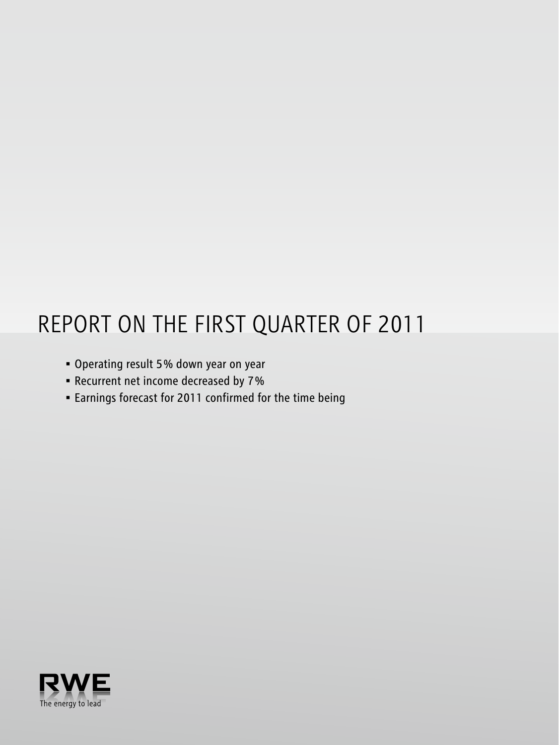# Report on the first quarter of 2011

- • Operating result 5 % down year on year
- • Recurrent net income decreased by 7 %
- • Earnings forecast for 2011 confirmed for the time being

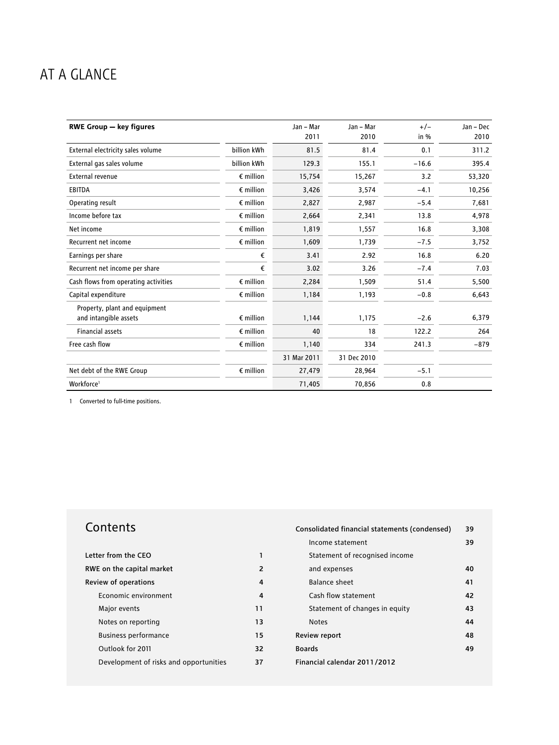## AT A GLANCE

| <b>RWE Group - key figures</b>                         |                    | Jan - Mar   | Jan - Mar   | $+/-$   | Jan - Dec |
|--------------------------------------------------------|--------------------|-------------|-------------|---------|-----------|
|                                                        |                    | 2011        | 2010        | in $%$  | 2010      |
| External electricity sales volume                      | billion kWh        | 81.5        | 81.4        | 0.1     | 311.2     |
| External gas sales volume                              | billion kWh        | 129.3       | 155.1       | $-16.6$ | 395.4     |
| External revenue                                       | $\epsilon$ million | 15,754      | 15,267      | 3.2     | 53,320    |
| <b>EBITDA</b>                                          | $\epsilon$ million | 3,426       | 3,574       | $-4.1$  | 10,256    |
| Operating result                                       | $\epsilon$ million | 2,827       | 2,987       | $-5.4$  | 7,681     |
| Income before tax                                      | $\epsilon$ million | 2,664       | 2,341       | 13.8    | 4,978     |
| Net income                                             | $\epsilon$ million | 1,819       | 1,557       | 16.8    | 3,308     |
| Recurrent net income                                   | $\epsilon$ million | 1,609       | 1,739       | $-7.5$  | 3,752     |
| Earnings per share                                     | €                  | 3.41        | 2.92        | 16.8    | 6.20      |
| Recurrent net income per share                         | €                  | 3.02        | 3.26        | $-7.4$  | 7.03      |
| Cash flows from operating activities                   | $\epsilon$ million | 2,284       | 1,509       | 51.4    | 5,500     |
| Capital expenditure                                    | $\epsilon$ million | 1,184       | 1,193       | $-0.8$  | 6,643     |
| Property, plant and equipment<br>and intangible assets | $\epsilon$ million | 1,144       | 1,175       | $-2.6$  | 6,379     |
| <b>Financial assets</b>                                | $\epsilon$ million | 40          | 18          | 122.2   | 264       |
|                                                        |                    |             |             |         |           |
| Free cash flow                                         | $\epsilon$ million | 1,140       | 334         | 241.3   | $-879$    |
|                                                        |                    | 31 Mar 2011 | 31 Dec 2010 |         |           |
| Net debt of the RWE Group                              | $\epsilon$ million | 27,479      | 28,964      | $-5.1$  |           |
| Workforce <sup>1</sup>                                 |                    | 71,405      | 70,856      | 0.8     |           |

1 Converted to full-time positions.

## **Contents**

| Letter from the CEO                    |               |
|----------------------------------------|---------------|
| RWE on the capital market              | $\mathcal{P}$ |
| Review of operations                   | 4             |
| Economic environment                   | 4             |
| Major events                           | 11            |
| Notes on reporting                     | 13            |
| <b>Business performance</b>            | 15            |
| Outlook for 2011                       | 32            |
| Development of risks and opportunities | 37            |

| Consolidated financial statements (condensed) | 39 |
|-----------------------------------------------|----|
| Income statement                              | 39 |
| Statement of recognised income                |    |
| and expenses                                  | 40 |
| Balance sheet                                 | 41 |
| Cash flow statement                           | 42 |
| Statement of changes in equity                | 43 |
| <b>Notes</b>                                  | 44 |
| Review report                                 | 48 |
| <b>Boards</b>                                 | 49 |
| Financial calendar 2011/2012                  |    |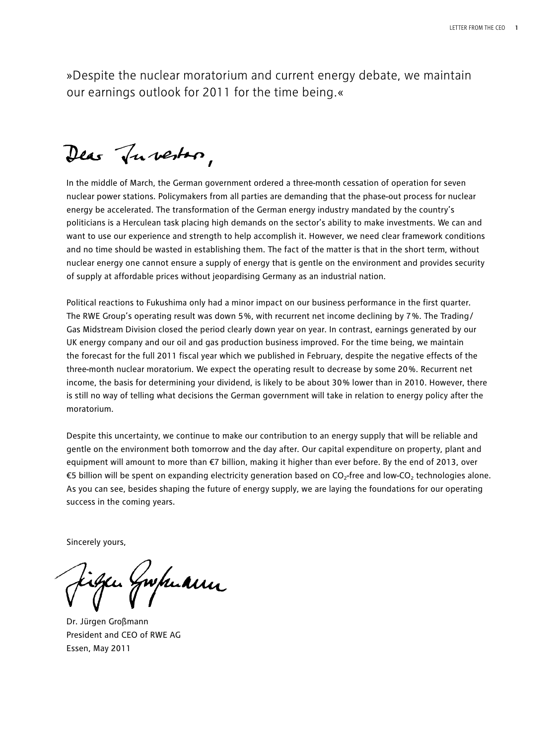»Despite the nuclear moratorium and current energy debate, we maintain our earnings outlook for 2011 for the time being.«

Dear Tuberton,

In the middle of March, the German government ordered a three-month cessation of operation for seven nuclear power stations. Policymakers from all parties are demanding that the phase-out process for nuclear energy be accelerated. The transformation of the German energy industry mandated by the country's politicians is a Herculean task placing high demands on the sector's ability to make investments. We can and want to use our experience and strength to help accomplish it. However, we need clear framework conditions and no time should be wasted in establishing them. The fact of the matter is that in the short term, without nuclear energy one cannot ensure a supply of energy that is gentle on the environment and provides security of supply at affordable prices without jeopardising Germany as an industrial nation.

Political reactions to Fukushima only had a minor impact on our business performance in the first quarter. The RWE Group's operating result was down 5 %, with recurrent net income declining by 7 %. The Trading/ Gas Midstream Division closed the period clearly down year on year. In contrast, earnings generated by our UK energy company and our oil and gas production business improved. For the time being, we maintain the forecast for the full 2011 fiscal year which we published in February, despite the negative effects of the three-month nuclear moratorium. We expect the operating result to decrease by some 20 %. Recurrent net income, the basis for determining your dividend, is likely to be about 30% lower than in 2010. However, there is still no way of telling what decisions the German government will take in relation to energy policy after the moratorium.

Despite this uncertainty, we continue to make our contribution to an energy supply that will be reliable and gentle on the environment both tomorrow and the day after. Our capital expenditure on property, plant and equipment will amount to more than €7 billion, making it higher than ever before. By the end of 2013, over €5 billion will be spent on expanding electricity generation based on  $CO_2$ -free and low-CO<sub>2</sub> technologies alone. As you can see, besides shaping the future of energy supply, we are laying the foundations for our operating success in the coming years.

Sincerely yours,

gwpuanu

Dr. Jürgen Großmann President and CEO of RWE AG Essen, May 2011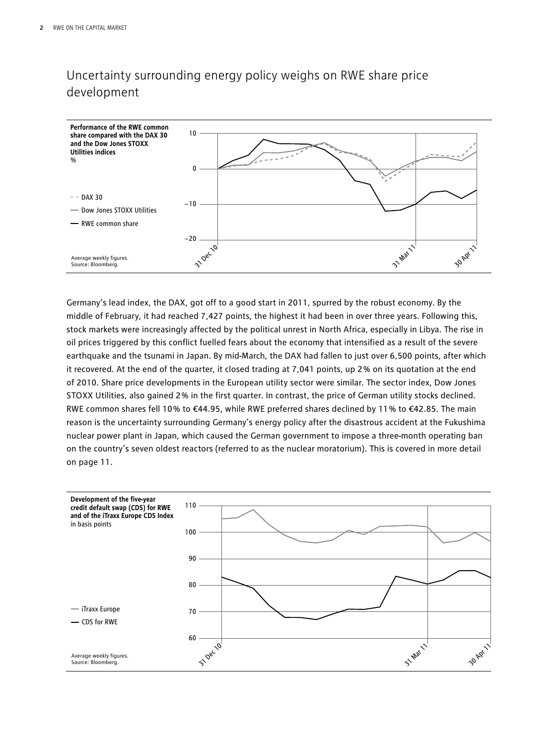## Uncertainty surrounding energy policy weighs on RWE share price development



Germany's lead index, the DAX, got off to a good start in 2011, spurred by the robust economy. By the middle of February, it had reached 7,427 points, the highest it had been in over three years. Following this, stock markets were increasingly affected by the political unrest in North Africa, especially in Libya. The rise in oil prices triggered by this conflict fuelled fears about the economy that intensified as a result of the severe earthquake and the tsunami in Japan. By mid-March, the DAX had fallen to just over 6,500 points, after which it recovered. At the end of the quarter, it closed trading at 7,041 points, up 2 % on its quotation at the end of 2010. Share price developments in the European utility sector were similar. The sector index, Dow Jones STOXX Utilities, also gained 2 % in the first quarter. In contrast, the price of German utility stocks declined. RWE common shares fell 10 % to €44.95, while RWE preferred shares declined by 11 % to €42.85. The main reason is the uncertainty surrounding Germany's energy policy after the disastrous accident at the Fukushima nuclear power plant in Japan, which caused the German government to impose a three-month operating ban on the country's seven oldest reactors (referred to as the nuclear moratorium). This is covered in more detail on page 11.

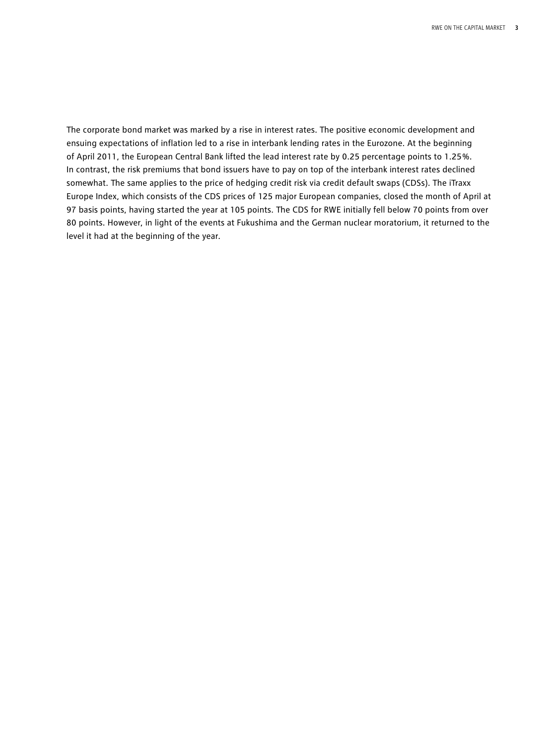The corporate bond market was marked by a rise in interest rates. The positive economic development and ensuing expectations of inflation led to a rise in interbank lending rates in the Eurozone. At the beginning of April 2011, the European Central Bank lifted the lead interest rate by 0.25 percentage points to 1.25 %. In contrast, the risk premiums that bond issuers have to pay on top of the interbank interest rates declined somewhat. The same applies to the price of hedging credit risk via credit default swaps (CDSs). The iTraxx Europe Index, which consists of the CDS prices of 125 major European companies, closed the month of April at 97 basis points, having started the year at 105 points. The CDS for RWE initially fell below 70 points from over 80 points. However, in light of the events at Fukushima and the German nuclear moratorium, it returned to the level it had at the beginning of the year.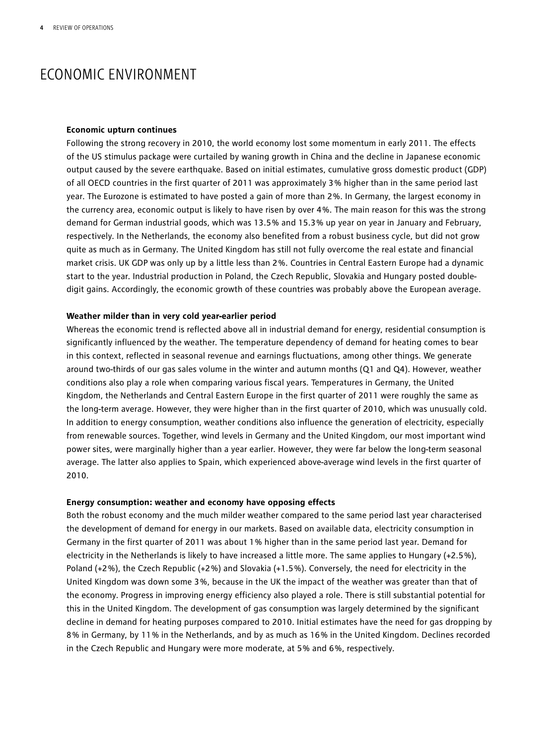## ECONOMIC ENVIRONMENT

#### **Economic upturn continues**

Following the strong recovery in 2010, the world economy lost some momentum in early 2011. The effects of the US stimulus package were curtailed by waning growth in China and the decline in Japanese economic output caused by the severe earthquake. Based on initial estimates, cumulative gross domestic product (GDP) of all OECD countries in the first quarter of 2011 was approximately 3 % higher than in the same period last year. The Eurozone is estimated to have posted a gain of more than 2 %. In Germany, the largest economy in the currency area, economic output is likely to have risen by over 4 %. The main reason for this was the strong demand for German industrial goods, which was 13.5 % and 15.3 % up year on year in January and February, respectively. In the Netherlands, the economy also benefited from a robust business cycle, but did not grow quite as much as in Germany. The United Kingdom has still not fully overcome the real estate and financial market crisis. UK GDP was only up by a little less than 2 %. Countries in Central Eastern Europe had a dynamic start to the year. Industrial production in Poland, the Czech Republic, Slovakia and Hungary posted doubledigit gains. Accordingly, the economic growth of these countries was probably above the European average.

#### **Weather milder than in very cold year-earlier period**

Whereas the economic trend is reflected above all in industrial demand for energy, residential consumption is significantly influenced by the weather. The temperature dependency of demand for heating comes to bear in this context, reflected in seasonal revenue and earnings fluctuations, among other things. We generate around two-thirds of our gas sales volume in the winter and autumn months (Q1 and Q4). However, weather conditions also play a role when comparing various fiscal years. Temperatures in Germany, the United Kingdom, the Netherlands and Central Eastern Europe in the first quarter of 2011 were roughly the same as the long-term average. However, they were higher than in the first quarter of 2010, which was unusually cold. In addition to energy consumption, weather conditions also influence the generation of electricity, especially from renewable sources. Together, wind levels in Germany and the United Kingdom, our most important wind power sites, were marginally higher than a year earlier. However, they were far below the long-term seasonal average. The latter also applies to Spain, which experienced above-average wind levels in the first quarter of 2010.

#### **Energy consumption: weather and economy have opposing effects**

Both the robust economy and the much milder weather compared to the same period last year characterised the development of demand for energy in our markets. Based on available data, electricity consumption in Germany in the first quarter of 2011 was about 1 % higher than in the same period last year. Demand for electricity in the Netherlands is likely to have increased a little more. The same applies to Hungary (+2.5 %), Poland (+2 %), the Czech Republic (+2 %) and Slovakia (+1.5 %). Conversely, the need for electricity in the United Kingdom was down some 3 %, because in the UK the impact of the weather was greater than that of the economy. Progress in improving energy efficiency also played a role. There is still substantial potential for this in the United Kingdom. The development of gas consumption was largely determined by the significant decline in demand for heating purposes compared to 2010. Initial estimates have the need for gas dropping by 8 % in Germany, by 11 % in the Netherlands, and by as much as 16 % in the United Kingdom. Declines recorded in the Czech Republic and Hungary were more moderate, at 5 % and 6 %, respectively.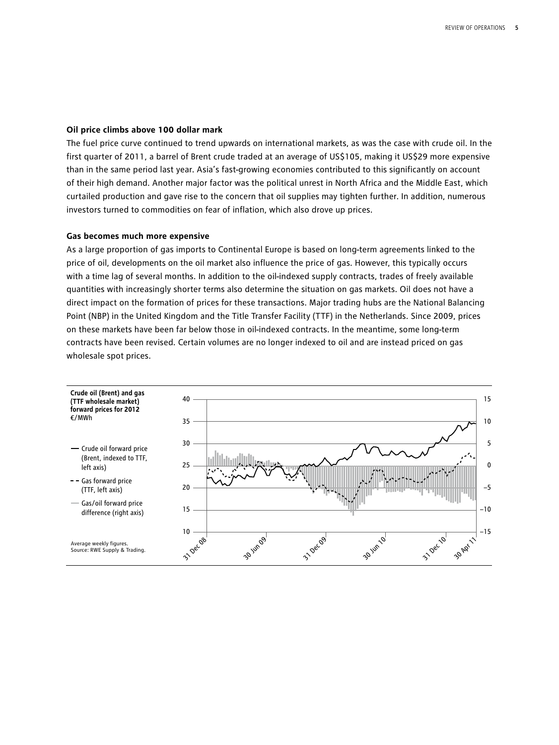#### **Oil price climbs above 100 dollar mark**

The fuel price curve continued to trend upwards on international markets, as was the case with crude oil. In the first quarter of 2011, a barrel of Brent crude traded at an average of US\$105, making it US\$29 more expensive than in the same period last year. Asia's fast-growing economies contributed to this significantly on account of their high demand. Another major factor was the political unrest in North Africa and the Middle East, which curtailed production and gave rise to the concern that oil supplies may tighten further. In addition, numerous investors turned to commodities on fear of inflation, which also drove up prices.

#### **Gas becomes much more expensive**

As a large proportion of gas imports to Continental Europe is based on long-term agreements linked to the price of oil, developments on the oil market also influence the price of gas. However, this typically occurs with a time lag of several months. In addition to the oil-indexed supply contracts, trades of freely available quantities with increasingly shorter terms also determine the situation on gas markets. Oil does not have a direct impact on the formation of prices for these transactions. Major trading hubs are the National Balancing Point (NBP) in the United Kingdom and the Title Transfer Facility (TTF) in the Netherlands. Since 2009, prices on these markets have been far below those in oil-indexed contracts. In the meantime, some long-term contracts have been revised. Certain volumes are no longer indexed to oil and are instead priced on gas wholesale spot prices.

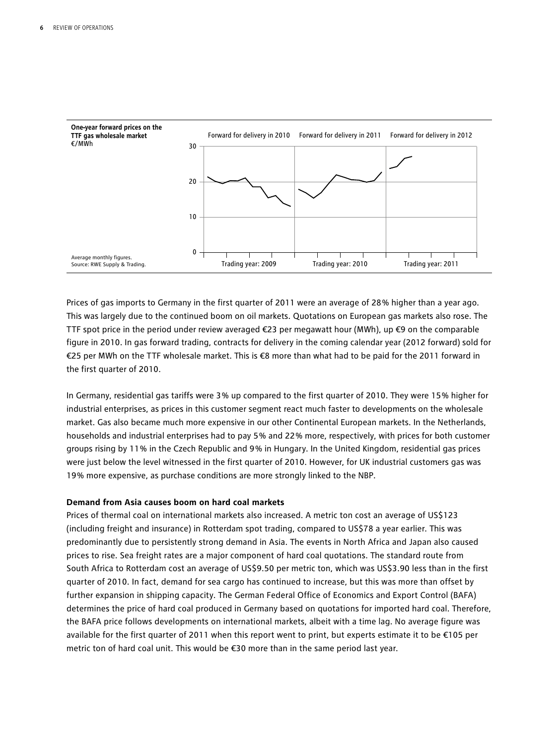

Prices of gas imports to Germany in the first quarter of 2011 were an average of 28 % higher than a year ago. This was largely due to the continued boom on oil markets. Quotations on European gas markets also rose. The TTF spot price in the period under review averaged €23 per megawatt hour (MWh), up €9 on the comparable figure in 2010. In gas forward trading, contracts for delivery in the coming calendar year (2012 forward) sold for €25 per MWh on the TTF wholesale market. This is €8 more than what had to be paid for the 2011 forward in the first quarter of 2010.

In Germany, residential gas tariffs were 3 % up compared to the first quarter of 2010. They were 15 % higher for industrial enterprises, as prices in this customer segment react much faster to developments on the wholesale market. Gas also became much more expensive in our other Continental European markets. In the Netherlands, households and industrial enterprises had to pay 5 % and 22 % more, respectively, with prices for both customer groups rising by 11 % in the Czech Republic and 9 % in Hungary. In the United Kingdom, residential gas prices were just below the level witnessed in the first quarter of 2010. However, for UK industrial customers gas was 19 % more expensive, as purchase conditions are more strongly linked to the NBP.

#### **Demand from Asia causes boom on hard coal markets**

Prices of thermal coal on international markets also increased. A metric ton cost an average of US\$123 (including freight and insurance) in Rotterdam spot trading, compared to US\$78 a year earlier. This was predominantly due to persistently strong demand in Asia. The events in North Africa and Japan also caused prices to rise. Sea freight rates are a major component of hard coal quotations. The standard route from South Africa to Rotterdam cost an average of US\$9.50 per metric ton, which was US\$3.90 less than in the first quarter of 2010. In fact, demand for sea cargo has continued to increase, but this was more than offset by further expansion in shipping capacity. The German Federal Office of Economics and Export Control (BAFA) determines the price of hard coal produced in Germany based on quotations for imported hard coal. Therefore, the BAFA price follows developments on international markets, albeit with a time lag. No average figure was available for the first quarter of 2011 when this report went to print, but experts estimate it to be €105 per metric ton of hard coal unit. This would be €30 more than in the same period last year.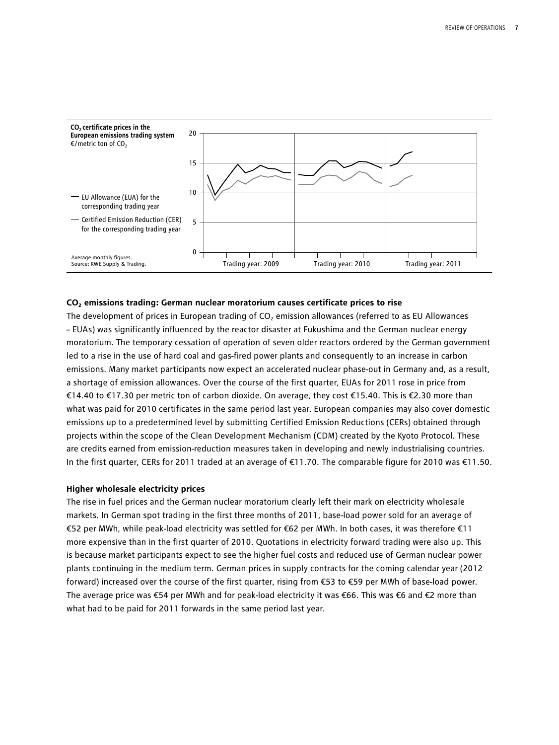

#### **CO2 emissions trading: German nuclear moratorium causes certificate prices to rise**

The development of prices in European trading of  $CO<sub>2</sub>$  emission allowances (referred to as EU Allowances – EUAs) was significantly influenced by the reactor disaster at Fukushima and the German nuclear energy moratorium. The temporary cessation of operation of seven older reactors ordered by the German government led to a rise in the use of hard coal and gas-fired power plants and consequently to an increase in carbon emissions. Many market participants now expect an accelerated nuclear phase-out in Germany and, as a result, a shortage of emission allowances. Over the course of the first quarter, EUAs for 2011 rose in price from €14.40 to €17.30 per metric ton of carbon dioxide. On average, they cost €15.40. This is €2.30 more than what was paid for 2010 certificates in the same period last year. European companies may also cover domestic emissions up to a predetermined level by submitting Certified Emission Reductions (CERs) obtained through projects within the scope of the Clean Development Mechanism (CDM) created by the Kyoto Protocol. These are credits earned from emission-reduction measures taken in developing and newly industrialising countries. In the first quarter, CERs for 2011 traded at an average of €11.70. The comparable figure for 2010 was €11.50.

#### **Higher wholesale electricity prices**

The rise in fuel prices and the German nuclear moratorium clearly left their mark on electricity wholesale markets. In German spot trading in the first three months of 2011, base-load power sold for an average of €52 per MWh, while peak-load electricity was settled for €62 per MWh. In both cases, it was therefore €11 more expensive than in the first quarter of 2010. Quotations in electricity forward trading were also up. This is because market participants expect to see the higher fuel costs and reduced use of German nuclear power plants continuing in the medium term. German prices in supply contracts for the coming calendar year (2012 forward) increased over the course of the first quarter, rising from €53 to €59 per MWh of base-load power. The average price was €54 per MWh and for peak-load electricity it was €66. This was €6 and €2 more than what had to be paid for 2011 forwards in the same period last year.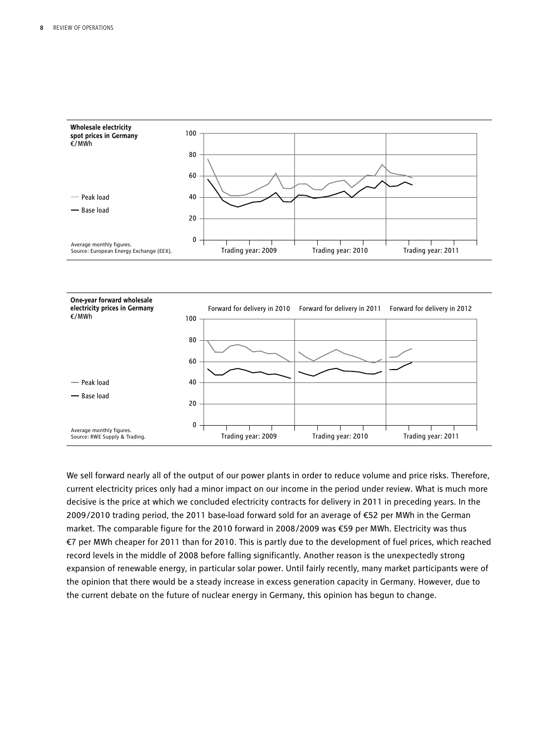

We sell forward nearly all of the output of our power plants in order to reduce volume and price risks. Therefore, current electricity prices only had a minor impact on our income in the period under review. What is much more decisive is the price at which we concluded electricity contracts for delivery in 2011 in preceding years. In the 2009/2010 trading period, the 2011 base-load forward sold for an average of €52 per MWh in the German market. The comparable figure for the 2010 forward in 2008/2009 was €59 per MWh. Electricity was thus €7 per MWh cheaper for 2011 than for 2010. This is partly due to the development of fuel prices, which reached record levels in the middle of 2008 before falling significantly. Another reason is the unexpectedly strong expansion of renewable energy, in particular solar power. Until fairly recently, many market participants were of the opinion that there would be a steady increase in excess generation capacity in Germany. However, due to the current debate on the future of nuclear energy in Germany, this opinion has begun to change.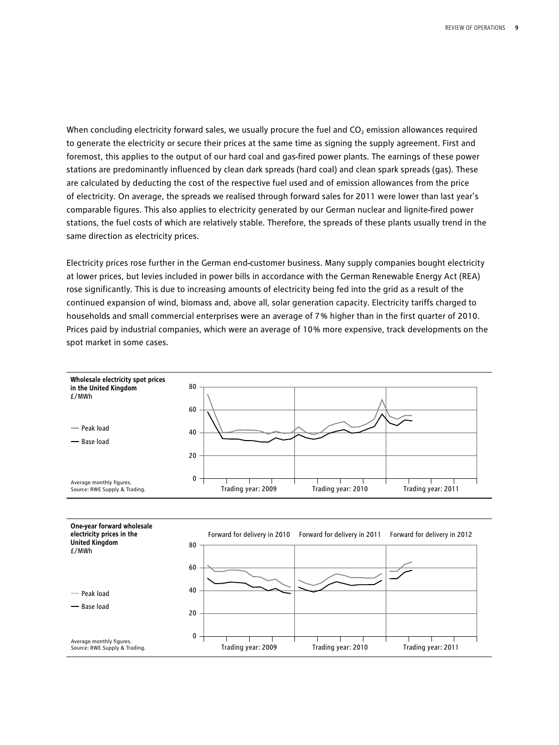When concluding electricity forward sales, we usually procure the fuel and  $CO<sub>2</sub>$  emission allowances required to generate the electricity or secure their prices at the same time as signing the supply agreement. First and foremost, this applies to the output of our hard coal and gas-fired power plants. The earnings of these power stations are predominantly influenced by clean dark spreads (hard coal) and clean spark spreads (gas). These are calculated by deducting the cost of the respective fuel used and of emission allowances from the price of electricity. On average, the spreads we realised through forward sales for 2011 were lower than last year's comparable figures. This also applies to electricity generated by our German nuclear and lignite-fired power stations, the fuel costs of which are relatively stable. Therefore, the spreads of these plants usually trend in the same direction as electricity prices.

Electricity prices rose further in the German end-customer business. Many supply companies bought electricity at lower prices, but levies included in power bills in accordance with the German Renewable Energy Act (REA) rose significantly. This is due to increasing amounts of electricity being fed into the grid as a result of the continued expansion of wind, biomass and, above all, solar generation capacity. Electricity tariffs charged to households and small commercial enterprises were an average of 7 % higher than in the first quarter of 2010. Prices paid by industrial companies, which were an average of 10 % more expensive, track developments on the spot market in some cases.

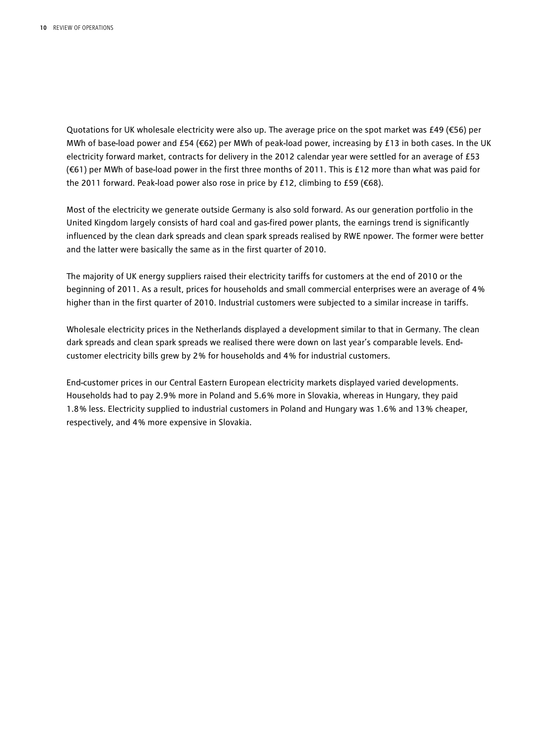Quotations for UK wholesale electricity were also up. The average price on the spot market was £49 (€56) per MWh of base-load power and £54 (€62) per MWh of peak-load power, increasing by £13 in both cases. In the UK electricity forward market, contracts for delivery in the 2012 calendar year were settled for an average of £53 (€61) per MWh of base-load power in the first three months of 2011. This is £12 more than what was paid for the 2011 forward. Peak-load power also rose in price by £12, climbing to £59 (€68).

Most of the electricity we generate outside Germany is also sold forward. As our generation portfolio in the United Kingdom largely consists of hard coal and gas-fired power plants, the earnings trend is significantly influenced by the clean dark spreads and clean spark spreads realised by RWE npower. The former were better and the latter were basically the same as in the first quarter of 2010.

The majority of UK energy suppliers raised their electricity tariffs for customers at the end of 2010 or the beginning of 2011. As a result, prices for households and small commercial enterprises were an average of 4 % higher than in the first quarter of 2010. Industrial customers were subjected to a similar increase in tariffs.

Wholesale electricity prices in the Netherlands displayed a development similar to that in Germany. The clean dark spreads and clean spark spreads we realised there were down on last year's comparable levels. Endcustomer electricity bills grew by 2 % for households and 4 % for industrial customers.

End-customer prices in our Central Eastern European electricity markets displayed varied developments. Households had to pay 2.9 % more in Poland and 5.6 % more in Slovakia, whereas in Hungary, they paid 1.8 % less. Electricity supplied to industrial customers in Poland and Hungary was 1.6 % and 13 % cheaper, respectively, and 4 % more expensive in Slovakia.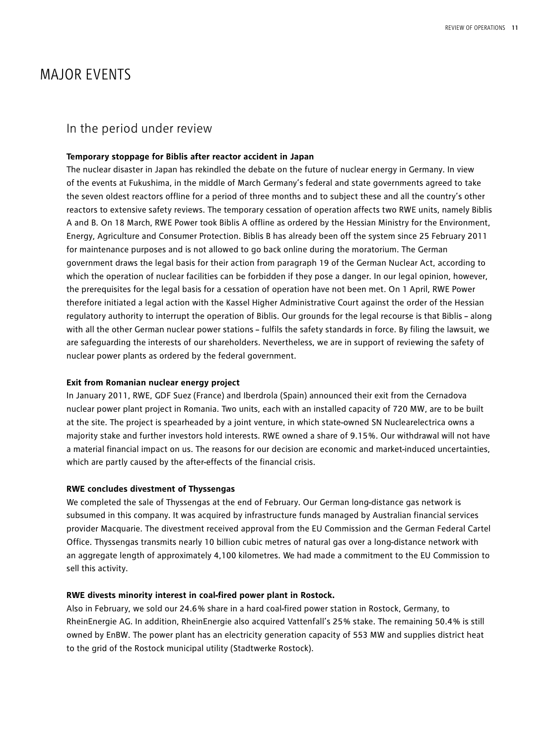## MAJOR EVENTS

## In the period under review

#### **Temporary stoppage for Biblis after reactor accident in Japan**

The nuclear disaster in Japan has rekindled the debate on the future of nuclear energy in Germany. In view of the events at Fukushima, in the middle of March Germany's federal and state governments agreed to take the seven oldest reactors offline for a period of three months and to subject these and all the country's other reactors to extensive safety reviews. The temporary cessation of operation affects two RWE units, namely Biblis A and B. On 18 March, RWE Power took Biblis A offline as ordered by the Hessian Ministry for the Environment, Energy, Agriculture and Consumer Protection. Biblis B has already been off the system since 25 February 2011 for maintenance purposes and is not allowed to go back online during the moratorium. The German government draws the legal basis for their action from paragraph 19 of the German Nuclear Act, according to which the operation of nuclear facilities can be forbidden if they pose a danger. In our legal opinion, however, the prerequisites for the legal basis for a cessation of operation have not been met. On 1 April, RWE Power therefore initiated a legal action with the Kassel Higher Administrative Court against the order of the Hessian regulatory authority to interrupt the operation of Biblis. Our grounds for the legal recourse is that Biblis – along with all the other German nuclear power stations – fulfils the safety standards in force. By filing the lawsuit, we are safeguarding the interests of our shareholders. Nevertheless, we are in support of reviewing the safety of nuclear power plants as ordered by the federal government.

#### **Exit from Romanian nuclear energy project**

In January 2011, RWE, GDF Suez (France) and Iberdrola (Spain) announced their exit from the Cernadova nuclear power plant project in Romania. Two units, each with an installed capacity of 720 MW, are to be built at the site. The project is spearheaded by a joint venture, in which state-owned SN Nuclearelectrica owns a majority stake and further investors hold interests. RWE owned a share of 9.15 %. Our withdrawal will not have a material financial impact on us. The reasons for our decision are economic and market-induced uncertainties, which are partly caused by the after-effects of the financial crisis.

#### **RWE concludes divestment of Thyssengas**

We completed the sale of Thyssengas at the end of February. Our German long-distance gas network is subsumed in this company. It was acquired by infrastructure funds managed by Australian financial services provider Macquarie. The divestment received approval from the EU Commission and the German Federal Cartel Office. Thyssengas transmits nearly 10 billion cubic metres of natural gas over a long-distance network with an aggregate length of approximately 4,100 kilometres. We had made a commitment to the EU Commission to sell this activity.

#### **RWE divests minority interest in coal-fired power plant in Rostock.**

Also in February, we sold our 24.6 % share in a hard coal-fired power station in Rostock, Germany, to RheinEnergie AG. In addition, RheinEnergie also acquired Vattenfall's 25 % stake. The remaining 50.4 % is still owned by EnBW. The power plant has an electricity generation capacity of 553 MW and supplies district heat to the grid of the Rostock municipal utility (Stadtwerke Rostock).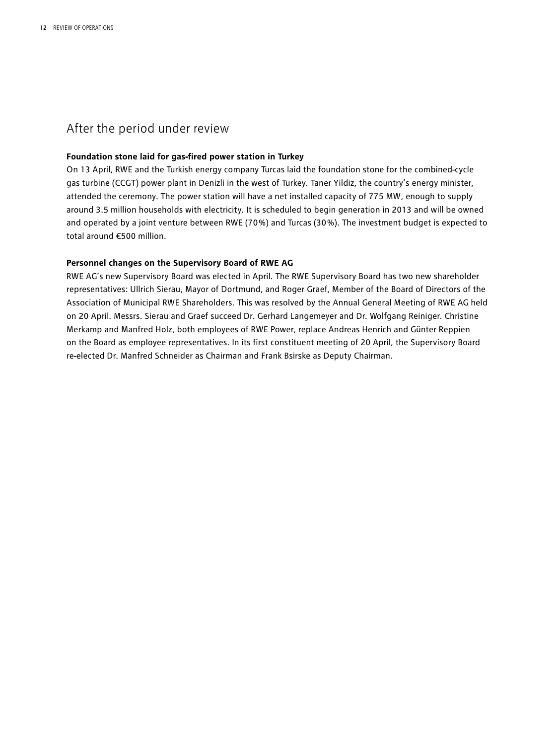## After the period under review

#### **Foundation stone laid for gas-fired power station in Turkey**

On 13 April, RWE and the Turkish energy company Turcas laid the foundation stone for the combined-cycle gas turbine (CCGT) power plant in Denizli in the west of Turkey. Taner Yildiz, the country's energy minister, attended the ceremony. The power station will have a net installed capacity of 775 MW, enough to supply around 3.5 million households with electricity. It is scheduled to begin generation in 2013 and will be owned and operated by a joint venture between RWE (70 %) and Turcas (30 %). The investment budget is expected to total around €500 million.

#### **Personnel changes on the Supervisory Board of RWE AG**

RWE AG's new Supervisory Board was elected in April. The RWE Supervisory Board has two new shareholder representatives: Ullrich Sierau, Mayor of Dortmund, and Roger Graef, Member of the Board of Directors of the Association of Municipal RWE Shareholders. This was resolved by the Annual General Meeting of RWE AG held on 20 April. Messrs. Sierau and Graef succeed Dr. Gerhard Langemeyer and Dr. Wolfgang Reiniger. Christine Merkamp and Manfred Holz, both employees of RWE Power, replace Andreas Henrich and Günter Reppien on the Board as employee representatives. In its first constituent meeting of 20 April, the Supervisory Board re-elected Dr. Manfred Schneider as Chairman and Frank Bsirske as Deputy Chairman.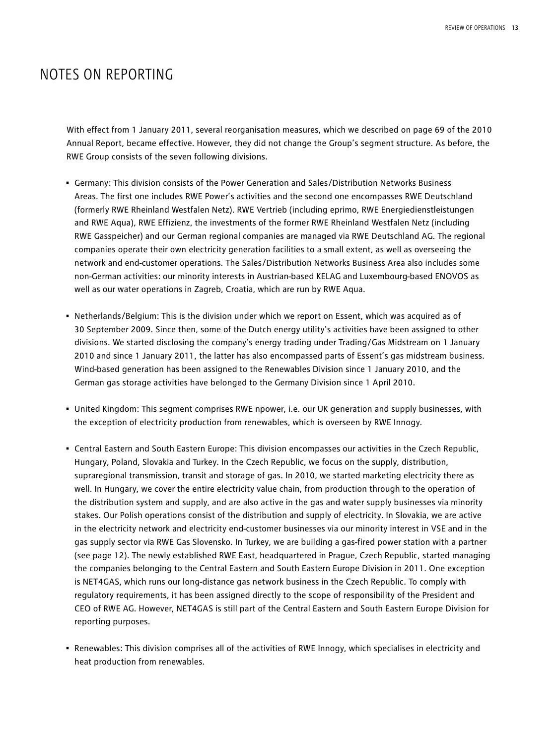## NOTES ON REPORTING

With effect from 1 January 2011, several reorganisation measures, which we described on page 69 of the 2010 Annual Report, became effective. However, they did not change the Group's segment structure. As before, the RWE Group consists of the seven following divisions.

- Germany: This division consists of the Power Generation and Sales/Distribution Networks Business Areas. The first one includes RWE Power's activities and the second one encompasses RWE Deutschland (formerly RWE Rheinland Westfalen Netz). RWE Vertrieb (including eprimo, RWE Energiedienstleistungen and RWE Aqua), RWE Effizienz, the investments of the former RWE Rheinland Westfalen Netz (including RWE Gasspeicher) and our German regional companies are managed via RWE Deutschland AG. The regional companies operate their own electricity generation facilities to a small extent, as well as overseeing the network and end-customer operations. The Sales/Distribution Networks Business Area also includes some non-German activities: our minority interests in Austrian-based KELAG and Luxembourg-based ENOVOS as well as our water operations in Zagreb, Croatia, which are run by RWE Aqua.
- Netherlands/Belgium: This is the division under which we report on Essent, which was acquired as of 30 September 2009. Since then, some of the Dutch energy utility's activities have been assigned to other divisions. We started disclosing the company's energy trading under Trading/Gas Midstream on 1 January 2010 and since 1 January 2011, the latter has also encompassed parts of Essent's gas midstream business. Wind-based generation has been assigned to the Renewables Division since 1 January 2010, and the German gas storage activities have belonged to the Germany Division since 1 April 2010.
- United Kingdom: This segment comprises RWE npower, i.e. our UK generation and supply businesses, with the exception of electricity production from renewables, which is overseen by RWE Innogy.
- Central Eastern and South Eastern Europe: This division encompasses our activities in the Czech Republic, Hungary, Poland, Slovakia and Turkey. In the Czech Republic, we focus on the supply, distribution, supraregional transmission, transit and storage of gas. In 2010, we started marketing electricity there as well. In Hungary, we cover the entire electricity value chain, from production through to the operation of the distribution system and supply, and are also active in the gas and water supply businesses via minority stakes. Our Polish operations consist of the distribution and supply of electricity. In Slovakia, we are active in the electricity network and electricity end-customer businesses via our minority interest in VSE and in the gas supply sector via RWE Gas Slovensko. In Turkey, we are building a gas-fired power station with a partner (see page 12). The newly established RWE East, headquartered in Prague, Czech Republic, started managing the companies belonging to the Central Eastern and South Eastern Europe Division in 2011. One exception is NET4GAS, which runs our long-distance gas network business in the Czech Republic. To comply with regulatory requirements, it has been assigned directly to the scope of responsibility of the President and CEO of RWE AG. However, NET4GAS is still part of the Central Eastern and South Eastern Europe Division for reporting purposes.
- Renewables: This division comprises all of the activities of RWE Innogy, which specialises in electricity and heat production from renewables.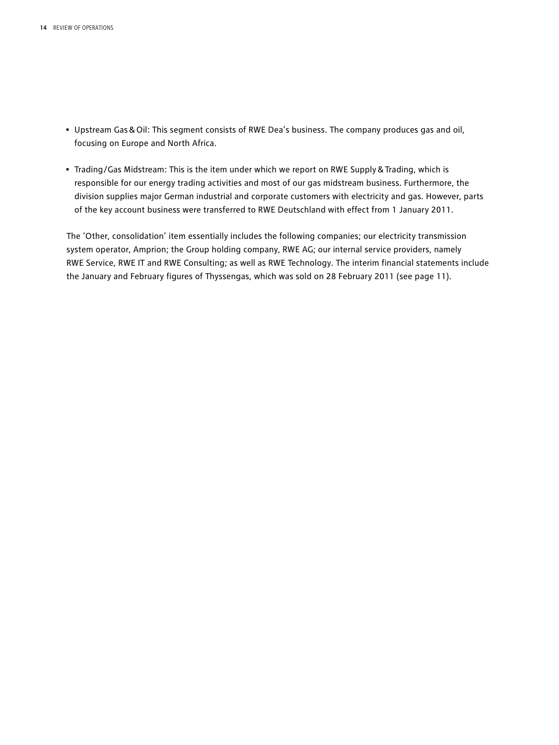- Upstream Gas&Oil: This segment consists of RWE Dea's business. The company produces gas and oil, focusing on Europe and North Africa.
- Trading/Gas Midstream: This is the item under which we report on RWE Supply&Trading, which is responsible for our energy trading activities and most of our gas midstream business. Furthermore, the division supplies major German industrial and corporate customers with electricity and gas. However, parts of the key account business were transferred to RWE Deutschland with effect from 1 January 2011.

The 'Other, consolidation' item essentially includes the following companies; our electricity transmission system operator, Amprion; the Group holding company, RWE AG; our internal service providers, namely RWE Service, RWE IT and RWE Consulting; as well as RWE Technology. The interim financial statements include the January and February figures of Thyssengas, which was sold on 28 February 2011 (see page 11).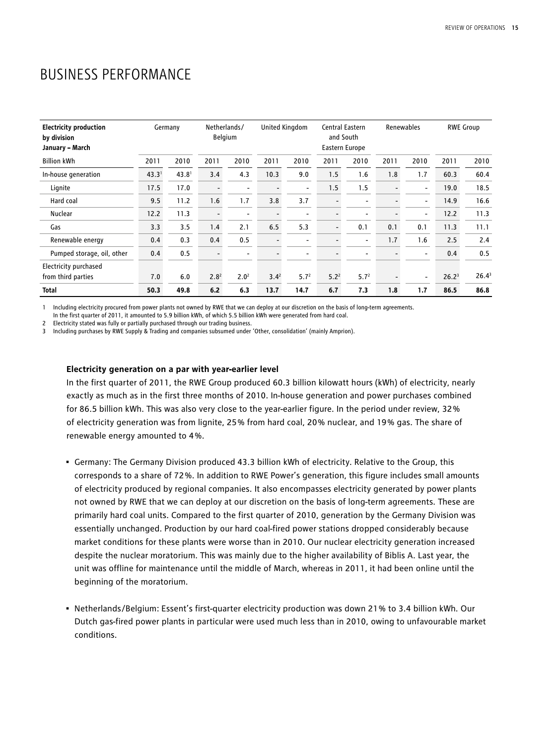## BUSINESS PERFORMANCE

| <b>Electricity production</b><br>by division<br>January - March |                   | Germany           |                          | Netherlands/<br><b>Belgium</b> | United Kingdom           |                          | and South | Central Eastern<br>Eastern Europe |      | Renewables               |                   | <b>RWE Group</b>  |
|-----------------------------------------------------------------|-------------------|-------------------|--------------------------|--------------------------------|--------------------------|--------------------------|-----------|-----------------------------------|------|--------------------------|-------------------|-------------------|
| <b>Billion kWh</b>                                              | 2011              | 2010              | 2011                     | 2010                           | 2011                     | 2010                     | 2011      | 2010                              | 2011 | 2010                     | 2011              | 2010              |
| In-house generation                                             | 43.3 <sup>1</sup> | 43.8 <sup>1</sup> | 3.4                      | 4.3                            | 10.3                     | 9.0                      | 1.5       | 1.6                               | 1.8  | 1.7                      | 60.3              | 60.4              |
| Lignite                                                         | 17.5              | 17.0              | $\overline{\phantom{0}}$ | $\overline{\phantom{a}}$       | $\overline{a}$           | $\blacksquare$           | 1.5       | 1.5                               |      | $\overline{\phantom{0}}$ | 19.0              | 18.5              |
| Hard coal                                                       | 9.5               | 11.2              | 1.6                      | 1.7                            | 3.8                      | 3.7                      |           | -                                 |      | $\overline{\phantom{0}}$ | 14.9              | 16.6              |
| Nuclear                                                         | 12.2              | 11.3              | $\overline{\phantom{a}}$ | $\overline{\phantom{a}}$       | $\overline{\phantom{0}}$ | $\overline{\phantom{a}}$ |           | -                                 |      | $\overline{\phantom{a}}$ | 12.2              | 11.3              |
| Gas                                                             | 3.3               | 3.5               | 1.4                      | 2.1                            | 6.5                      | 5.3                      | -         | 0.1                               | 0.1  | 0.1                      | 11.3              | 11.1              |
| Renewable energy                                                | 0.4               | 0.3               | 0.4                      | 0.5                            | $\overline{\phantom{a}}$ | $\overline{\phantom{a}}$ |           | -                                 | 1.7  | 1.6                      | 2.5               | 2.4               |
| Pumped storage, oil, other                                      | 0.4               | 0.5               | $\overline{\phantom{0}}$ | $\overline{\phantom{a}}$       |                          | $\overline{\phantom{0}}$ |           | $\overline{\phantom{0}}$          |      | $\overline{\phantom{a}}$ | 0.4               | 0.5               |
| Electricity purchased                                           |                   |                   |                          |                                |                          |                          |           |                                   |      |                          |                   |                   |
| from third parties                                              | 7.0               | 6.0               | 2.8 <sup>2</sup>         | 2.0 <sup>2</sup>               | $3.4^{2}$                | 5.7 <sup>2</sup>         | $5.2^2$   | 5.7 <sup>2</sup>                  |      | -                        | 26.2 <sup>3</sup> | 26.4 <sup>3</sup> |
| <b>Total</b>                                                    | 50.3              | 49.8              | 6.2                      | 6.3                            | 13.7                     | 14.7                     | 6.7       | 7.3                               | 1.8  | 1.7                      | 86.5              | 86.8              |

1 Including electricity procured from power plants not owned by RWE that we can deploy at our discretion on the basis of long-term agreements. In the first quarter of 2011, it amounted to 5.9 billion kWh, of which 5.5 billion kWh were generated from hard coal.

2 Electricity stated was fully or partially purchased through our trading business.

3 Including purchases by RWE Supply & Trading and companies subsumed under 'Other, consolidation' (mainly Amprion).

#### **Electricity generation on a par with year-earlier level**

In the first quarter of 2011, the RWE Group produced 60.3 billion kilowatt hours (kWh) of electricity, nearly exactly as much as in the first three months of 2010. In-house generation and power purchases combined for 86.5 billion kWh. This was also very close to the year-earlier figure. In the period under review, 32 % of electricity generation was from lignite, 25 % from hard coal, 20 % nuclear, and 19 % gas. The share of renewable energy amounted to 4 %.

- Germany: The Germany Division produced 43.3 billion kWh of electricity. Relative to the Group, this corresponds to a share of 72 %. In addition to RWE Power's generation, this figure includes small amounts of electricity produced by regional companies. It also encompasses electricity generated by power plants not owned by RWE that we can deploy at our discretion on the basis of long-term agreements. These are primarily hard coal units. Compared to the first quarter of 2010, generation by the Germany Division was essentially unchanged. Production by our hard coal-fired power stations dropped considerably because market conditions for these plants were worse than in 2010. Our nuclear electricity generation increased despite the nuclear moratorium. This was mainly due to the higher availability of Biblis A. Last year, the unit was offline for maintenance until the middle of March, whereas in 2011, it had been online until the beginning of the moratorium.
- Netherlands/Belgium: Essent's first-quarter electricity production was down 21 % to 3.4 billion kWh. Our Dutch gas-fired power plants in particular were used much less than in 2010, owing to unfavourable market conditions.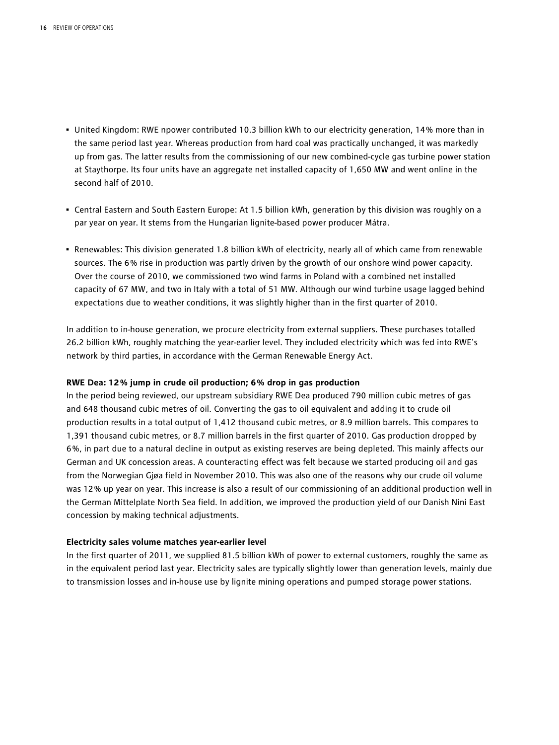- United Kingdom: RWE npower contributed 10.3 billion kWh to our electricity generation, 14 % more than in the same period last year. Whereas production from hard coal was practically unchanged, it was markedly up from gas. The latter results from the commissioning of our new combined-cycle gas turbine power station at Staythorpe. Its four units have an aggregate net installed capacity of 1,650 MW and went online in the second half of 2010.
- Central Eastern and South Eastern Europe: At 1.5 billion kWh, generation by this division was roughly on a par year on year. It stems from the Hungarian lignite-based power producer Mátra.
- Renewables: This division generated 1.8 billion kWh of electricity, nearly all of which came from renewable sources. The 6 % rise in production was partly driven by the growth of our onshore wind power capacity. Over the course of 2010, we commissioned two wind farms in Poland with a combined net installed capacity of 67 MW, and two in Italy with a total of 51 MW. Although our wind turbine usage lagged behind expectations due to weather conditions, it was slightly higher than in the first quarter of 2010.

In addition to in-house generation, we procure electricity from external suppliers. These purchases totalled 26.2 billion kWh, roughly matching the year-earlier level. They included electricity which was fed into RWE's network by third parties, in accordance with the German Renewable Energy Act.

#### **RWE Dea: 12 % jump in crude oil production; 6 % drop in gas production**

In the period being reviewed, our upstream subsidiary RWE Dea produced 790 million cubic metres of gas and 648 thousand cubic metres of oil. Converting the gas to oil equivalent and adding it to crude oil production results in a total output of 1,412 thousand cubic metres, or 8.9 million barrels. This compares to 1,391 thousand cubic metres, or 8.7 million barrels in the first quarter of 2010. Gas production dropped by 6 %, in part due to a natural decline in output as existing reserves are being depleted. This mainly affects our German and UK concession areas. A counteracting effect was felt because we started producing oil and gas from the Norwegian Gjøa field in November 2010. This was also one of the reasons why our crude oil volume was 12 % up year on year. This increase is also a result of our commissioning of an additional production well in the German Mittelplate North Sea field. In addition, we improved the production yield of our Danish Nini East concession by making technical adjustments.

#### **Electricity sales volume matches year-earlier level**

In the first quarter of 2011, we supplied 81.5 billion kWh of power to external customers, roughly the same as in the equivalent period last year. Electricity sales are typically slightly lower than generation levels, mainly due to transmission losses and in-house use by lignite mining operations and pumped storage power stations.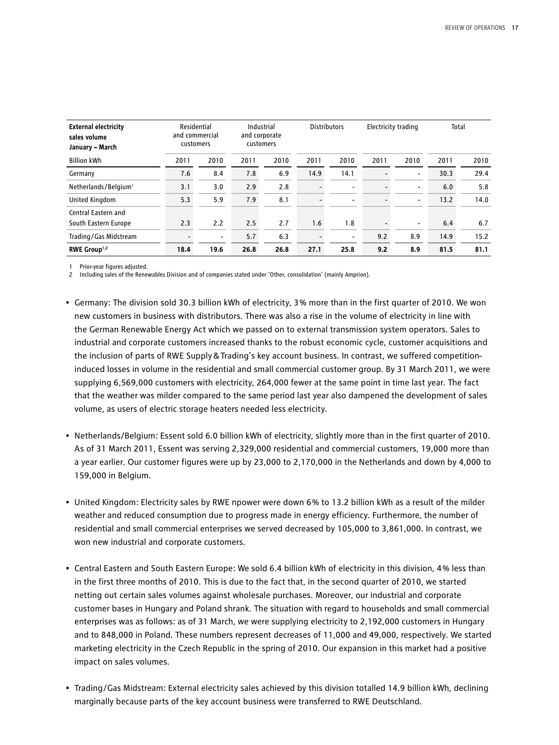| <b>External electricity</b><br>sales volume<br>January - March |      | Residential<br>and commercial<br>customers |      | Industrial<br>and corporate<br>customers |                          | <b>Distributors</b>      |                          | Electricity trading      |      | Total |
|----------------------------------------------------------------|------|--------------------------------------------|------|------------------------------------------|--------------------------|--------------------------|--------------------------|--------------------------|------|-------|
| <b>Billion kWh</b>                                             | 2011 | 2010                                       | 2011 | 2010                                     | 2011                     | 2010                     | 2011                     | 2010                     | 2011 | 2010  |
| Germany                                                        | 7.6  | 8.4                                        | 7.8  | 6.9                                      | 14.9                     | 14.1                     |                          | $\overline{\phantom{a}}$ | 30.3 | 29.4  |
| Netherlands/Belgium <sup>1</sup>                               | 3.1  | 3.0                                        | 2.9  | 2.8                                      |                          | $\overline{\phantom{0}}$ |                          | $\overline{\phantom{a}}$ | 6.0  | 5.8   |
| United Kingdom                                                 | 5.3  | 5.9                                        | 7.9  | 8.1                                      |                          | $\overline{\phantom{0}}$ | $\overline{\phantom{0}}$ | $\overline{\phantom{a}}$ | 13.2 | 14.0  |
| Central Eastern and                                            |      |                                            |      |                                          |                          |                          |                          |                          |      |       |
| South Eastern Europe                                           | 2.3  | 2.2                                        | 2.5  | 2.7                                      | 1.6                      | 1.8                      | $\overline{\phantom{0}}$ | $\overline{\phantom{a}}$ | 6.4  | 6.7   |
| Trading/Gas Midstream                                          |      | $\overline{\phantom{a}}$                   | 5.7  | 6.3                                      | $\overline{\phantom{0}}$ | $\overline{\phantom{a}}$ | 9.2                      | 8.9                      | 14.9 | 15.2  |
| RWE Group <sup>1,2</sup>                                       | 18.4 | 19.6                                       | 26.8 | 26.8                                     | 27.1                     | 25.8                     | 9.2                      | 8.9                      | 81.5 | 81.1  |

1 Prior-year figures adjusted.

2 Including sales of the Renewables Division and of companies stated under 'Other, consolidation' (mainly Amprion).

- Germany: The division sold 30.3 billion kWh of electricity, 3 % more than in the first quarter of 2010. We won new customers in business with distributors. There was also a rise in the volume of electricity in line with the German Renewable Energy Act which we passed on to external transmission system operators. Sales to industrial and corporate customers increased thanks to the robust economic cycle, customer acquisitions and the inclusion of parts of RWE Supply&Trading's key account business. In contrast, we suffered competitioninduced losses in volume in the residential and small commercial customer group. By 31 March 2011, we were supplying 6,569,000 customers with electricity, 264,000 fewer at the same point in time last year. The fact that the weather was milder compared to the same period last year also dampened the development of sales volume, as users of electric storage heaters needed less electricity.
- Netherlands/Belgium: Essent sold 6.0 billion kWh of electricity, slightly more than in the first quarter of 2010. As of 31 March 2011, Essent was serving 2,329,000 residential and commercial customers, 19,000 more than a year earlier. Our customer figures were up by 23,000 to 2,170,000 in the Netherlands and down by 4,000 to 159,000 in Belgium.
- United Kingdom: Electricity sales by RWE npower were down 6 % to 13.2 billion kWh as a result of the milder weather and reduced consumption due to progress made in energy efficiency. Furthermore, the number of residential and small commercial enterprises we served decreased by 105,000 to 3,861,000. In contrast, we won new industrial and corporate customers.
- Central Eastern and South Eastern Europe: We sold 6.4 billion kWh of electricity in this division, 4 % less than in the first three months of 2010. This is due to the fact that, in the second quarter of 2010, we started netting out certain sales volumes against wholesale purchases. Moreover, our industrial and corporate customer bases in Hungary and Poland shrank. The situation with regard to households and small commercial enterprises was as follows: as of 31 March, we were supplying electricity to 2,192,000 customers in Hungary and to 848,000 in Poland. These numbers represent decreases of 11,000 and 49,000, respectively. We started marketing electricity in the Czech Republic in the spring of 2010. Our expansion in this market had a positive impact on sales volumes.
- Trading/Gas Midstream: External electricity sales achieved by this division totalled 14.9 billion kWh, declining marginally because parts of the key account business were transferred to RWE Deutschland.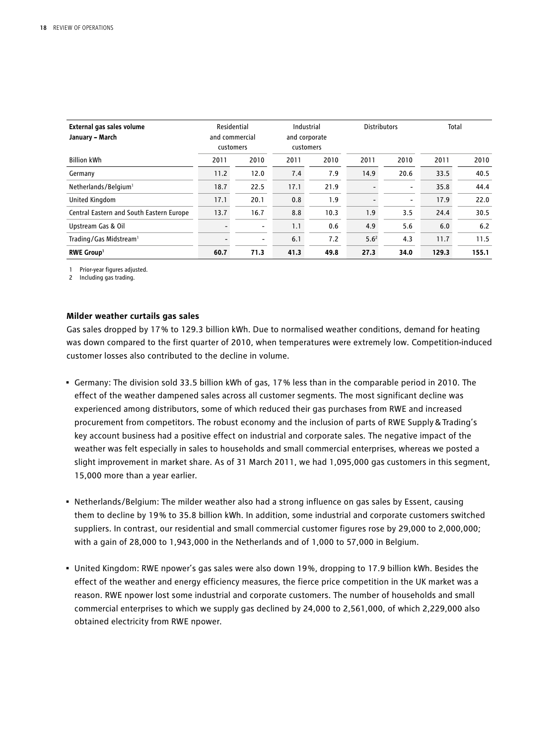| External gas sales volume<br>January - March |      | Residential<br>and commercial<br>customers |      | Industrial<br>and corporate<br>customers | <b>Distributors</b> |                          | Total |       |
|----------------------------------------------|------|--------------------------------------------|------|------------------------------------------|---------------------|--------------------------|-------|-------|
| <b>Billion kWh</b>                           | 2011 | 2010                                       | 2011 | 2010                                     | 2011                | 2010                     | 2011  | 2010  |
| Germany                                      | 11.2 | 12.0                                       | 7.4  | 7.9                                      | 14.9                | 20.6                     | 33.5  | 40.5  |
| Netherlands/Belgium <sup>1</sup>             | 18.7 | 22.5                                       | 17.1 | 21.9                                     |                     | $\overline{\phantom{a}}$ | 35.8  | 44.4  |
| United Kingdom                               | 17.1 | 20.1                                       | 0.8  | 1.9                                      |                     | -                        | 17.9  | 22.0  |
| Central Eastern and South Eastern Europe     | 13.7 | 16.7                                       | 8.8  | 10.3                                     | 1.9                 | 3.5                      | 24.4  | 30.5  |
| Upstream Gas & Oil                           |      | $\overline{\phantom{a}}$                   | 1.1  | 0.6                                      | 4.9                 | 5.6                      | 6.0   | 6.2   |
| Trading/Gas Midstream <sup>1</sup>           |      | $\overline{\phantom{a}}$                   | 6.1  | 7.2                                      | 5.6 <sup>2</sup>    | 4.3                      | 11.7  | 11.5  |
| <b>RWE Group1</b>                            | 60.7 | 71.3                                       | 41.3 | 49.8                                     | 27.3                | 34.0                     | 129.3 | 155.1 |

1 Prior-year figures adjusted.

2 Including gas trading.

#### **Milder weather curtails gas sales**

Gas sales dropped by 17 % to 129.3 billion kWh. Due to normalised weather conditions, demand for heating was down compared to the first quarter of 2010, when temperatures were extremely low. Competition-induced customer losses also contributed to the decline in volume.

- Germany: The division sold 33.5 billion kWh of gas, 17 % less than in the comparable period in 2010. The effect of the weather dampened sales across all customer segments. The most significant decline was experienced among distributors, some of which reduced their gas purchases from RWE and increased procurement from competitors. The robust economy and the inclusion of parts of RWE Supply & Trading's key account business had a positive effect on industrial and corporate sales. The negative impact of the weather was felt especially in sales to households and small commercial enterprises, whereas we posted a slight improvement in market share. As of 31 March 2011, we had 1,095,000 gas customers in this segment, 15,000 more than a year earlier.
- Netherlands/Belgium: The milder weather also had a strong influence on gas sales by Essent, causing them to decline by 19 % to 35.8 billion kWh. In addition, some industrial and corporate customers switched suppliers. In contrast, our residential and small commercial customer figures rose by 29,000 to 2,000,000; with a gain of 28,000 to 1,943,000 in the Netherlands and of 1,000 to 57,000 in Belgium.
- United Kingdom: RWE npower's gas sales were also down 19 %, dropping to 17.9 billion kWh. Besides the effect of the weather and energy efficiency measures, the fierce price competition in the UK market was a reason. RWE npower lost some industrial and corporate customers. The number of households and small commercial enterprises to which we supply gas declined by 24,000 to 2,561,000, of which 2,229,000 also obtained electricity from RWE npower.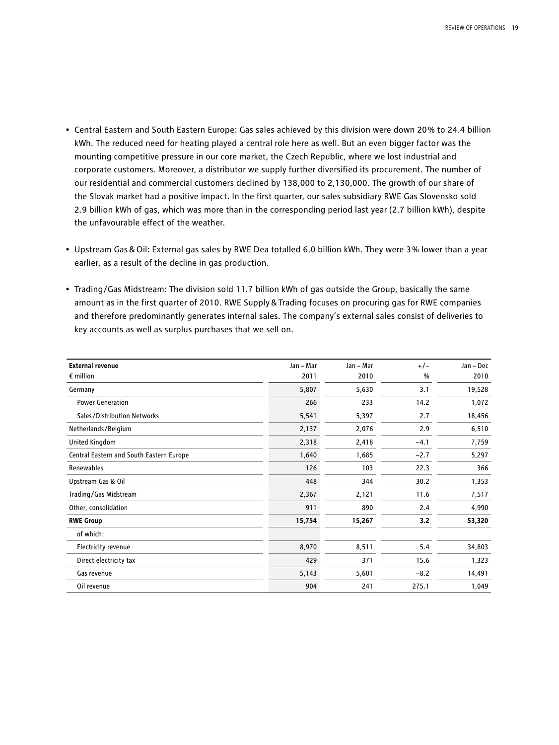- Central Eastern and South Eastern Europe: Gas sales achieved by this division were down 20 % to 24.4 billion kWh. The reduced need for heating played a central role here as well. But an even bigger factor was the mounting competitive pressure in our core market, the Czech Republic, where we lost industrial and corporate customers. Moreover, a distributor we supply further diversified its procurement. The number of our residential and commercial customers declined by 138,000 to 2,130,000. The growth of our share of the Slovak market had a positive impact. In the first quarter, our sales subsidiary RWE Gas Slovensko sold 2.9 billion kWh of gas, which was more than in the corresponding period last year (2.7 billion kWh), despite the unfavourable effect of the weather.
- Upstream Gas&Oil: External gas sales by RWE Dea totalled 6.0 billion kWh. They were 3 % lower than a year earlier, as a result of the decline in gas production.
- Trading/Gas Midstream: The division sold 11.7 billion kWh of gas outside the Group, basically the same amount as in the first quarter of 2010. RWE Supply&Trading focuses on procuring gas for RWE companies and therefore predominantly generates internal sales. The company's external sales consist of deliveries to key accounts as well as surplus purchases that we sell on.

| <b>External revenue</b>                  | Jan - Mar | Jan - Mar | $+/-$  | Jan - Dec |
|------------------------------------------|-----------|-----------|--------|-----------|
| $\epsilon$ million                       | 2011      | 2010      | %      | 2010      |
| Germany                                  | 5,807     | 5,630     | 3.1    | 19,528    |
| <b>Power Generation</b>                  | 266       | 233       | 14.2   | 1,072     |
| Sales/Distribution Networks              | 5,541     | 5,397     | 2.7    | 18,456    |
| Netherlands/Belgium                      | 2,137     | 2,076     | 2.9    | 6,510     |
| United Kingdom                           | 2,318     | 2,418     | $-4.1$ | 7,759     |
| Central Eastern and South Eastern Europe | 1,640     | 1,685     | $-2.7$ | 5,297     |
| Renewables                               | 126       | 103       | 22.3   | 366       |
| Upstream Gas & Oil                       | 448       | 344       | 30.2   | 1,353     |
| Trading/Gas Midstream                    | 2,367     | 2,121     | 11.6   | 7,517     |
| Other, consolidation                     | 911       | 890       | 2.4    | 4,990     |
| <b>RWE Group</b>                         | 15,754    | 15,267    | 3.2    | 53,320    |
| of which:                                |           |           |        |           |
| Electricity revenue                      | 8,970     | 8,511     | 5.4    | 34,803    |
| Direct electricity tax                   | 429       | 371       | 15.6   | 1,323     |
| Gas revenue                              | 5,143     | 5,601     | $-8.2$ | 14,491    |
| Oil revenue                              | 904       | 241       | 275.1  | 1,049     |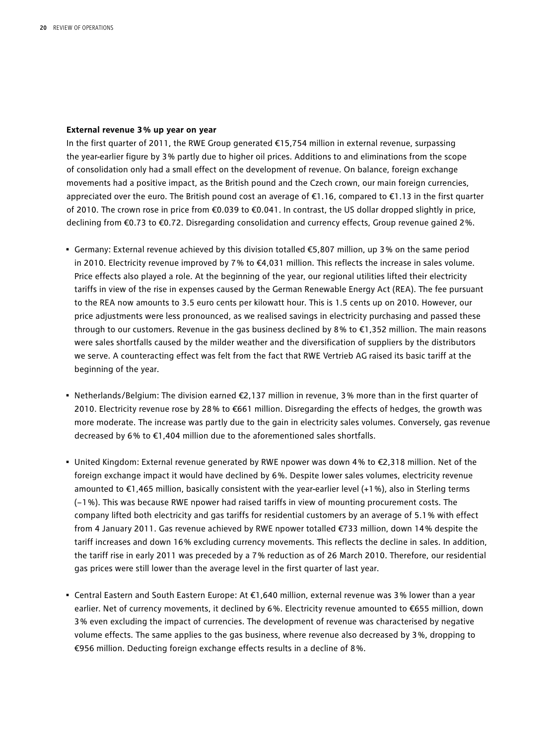#### **External revenue 3 % up year on year**

In the first quarter of 2011, the RWE Group generated €15,754 million in external revenue, surpassing the year-earlier figure by 3 % partly due to higher oil prices. Additions to and eliminations from the scope of consolidation only had a small effect on the development of revenue. On balance, foreign exchange movements had a positive impact, as the British pound and the Czech crown, our main foreign currencies, appreciated over the euro. The British pound cost an average of €1.16, compared to €1.13 in the first quarter of 2010. The crown rose in price from €0.039 to €0.041. In contrast, the US dollar dropped slightly in price, declining from €0.73 to €0.72. Disregarding consolidation and currency effects, Group revenue gained 2 %.

- Germany: External revenue achieved by this division totalled €5,807 million, up 3 % on the same period in 2010. Electricity revenue improved by 7 % to €4,031 million. This reflects the increase in sales volume. Price effects also played a role. At the beginning of the year, our regional utilities lifted their electricity tariffs in view of the rise in expenses caused by the German Renewable Energy Act (REA). The fee pursuant to the REA now amounts to 3.5 euro cents per kilowatt hour. This is 1.5 cents up on 2010. However, our price adjustments were less pronounced, as we realised savings in electricity purchasing and passed these through to our customers. Revenue in the gas business declined by 8 % to €1,352 million. The main reasons were sales shortfalls caused by the milder weather and the diversification of suppliers by the distributors we serve. A counteracting effect was felt from the fact that RWE Vertrieb AG raised its basic tariff at the beginning of the year.
- Netherlands/Belgium: The division earned €2,137 million in revenue, 3 % more than in the first quarter of 2010. Electricity revenue rose by 28 % to €661 million. Disregarding the effects of hedges, the growth was more moderate. The increase was partly due to the gain in electricity sales volumes. Conversely, gas revenue decreased by 6% to €1,404 million due to the aforementioned sales shortfalls.
- United Kingdom: External revenue generated by RWE npower was down 4 % to €2,318 million. Net of the foreign exchange impact it would have declined by 6%. Despite lower sales volumes, electricity revenue amounted to €1,465 million, basically consistent with the year-earlier level (+1 %), also in Sterling terms (−1 %). This was because RWE npower had raised tariffs in view of mounting procurement costs. The company lifted both electricity and gas tariffs for residential customers by an average of 5.1 % with effect from 4 January 2011. Gas revenue achieved by RWE npower totalled €733 million, down 14 % despite the tariff increases and down 16 % excluding currency movements. This reflects the decline in sales. In addition, the tariff rise in early 2011 was preceded by a 7 % reduction as of 26 March 2010. Therefore, our residential gas prices were still lower than the average level in the first quarter of last year.
- Central Eastern and South Eastern Europe: At €1,640 million, external revenue was 3 % lower than a year earlier. Net of currency movements, it declined by 6%. Electricity revenue amounted to €655 million, down 3 % even excluding the impact of currencies. The development of revenue was characterised by negative volume effects. The same applies to the gas business, where revenue also decreased by 3 %, dropping to €956 million. Deducting foreign exchange effects results in a decline of 8 %.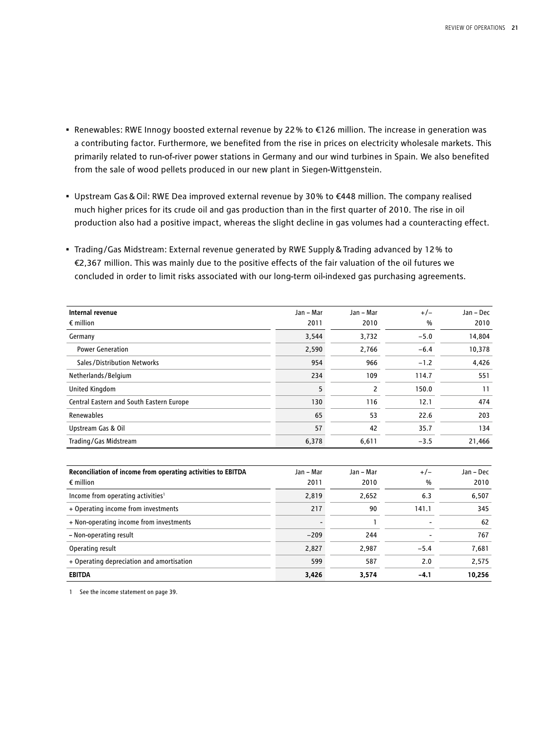- Renewables: RWE Innogy boosted external revenue by 22 % to €126 million. The increase in generation was a contributing factor. Furthermore, we benefited from the rise in prices on electricity wholesale markets. This primarily related to run-of-river power stations in Germany and our wind turbines in Spain. We also benefited from the sale of wood pellets produced in our new plant in Siegen-Wittgenstein.
- Upstream Gas&Oil: RWE Dea improved external revenue by 30 % to €448 million. The company realised much higher prices for its crude oil and gas production than in the first quarter of 2010. The rise in oil production also had a positive impact, whereas the slight decline in gas volumes had a counteracting effect.
- Trading/Gas Midstream: External revenue generated by RWE Supply&Trading advanced by 12 % to €2,367 million. This was mainly due to the positive effects of the fair valuation of the oil futures we concluded in order to limit risks associated with our long-term oil-indexed gas purchasing agreements.

| Internal revenue                                             | Jan - Mar | Jan - Mar | $+/-$         | Jan - Dec |
|--------------------------------------------------------------|-----------|-----------|---------------|-----------|
| $\epsilon$ million                                           | 2011      | 2010      | %             | 2010      |
| Germany                                                      | 3,544     | 3,732     | $-5.0$        | 14,804    |
| <b>Power Generation</b>                                      | 2,590     | 2,766     | $-6.4$        | 10,378    |
| Sales/Distribution Networks                                  | 954       | 966       | $-1.2$        | 4,426     |
| Netherlands/Belgium                                          | 234       | 109       | 114.7         | 551       |
| <b>United Kingdom</b>                                        | 5         | 2         | 150.0         | 11        |
| Central Eastern and South Eastern Europe                     | 130       | 116       | 12.1          | 474       |
| Renewables                                                   | 65        | 53        | 22.6          | 203       |
| Upstream Gas & Oil                                           | 57        | 42        | 35.7          | 134       |
| Trading/Gas Midstream                                        | 6,378     | 6,611     | $-3.5$        | 21,466    |
|                                                              |           |           |               |           |
| Reconciliation of income from operating activities to EBITDA | Jan - Mar | Jan - Mar | $+/-$         | Jan - Dec |
| $\epsilon$ million                                           | 2011      | 2010      | $\frac{0}{0}$ | 2010      |
| Income from operating activities <sup>1</sup>                | 2,819     | 2,652     | 6.3           | 6,507     |
| + Operating income from investments                          | 217       | 90        | 141.1         | 345       |

| + Non-operating income from investments   |        |       | $\overline{\phantom{0}}$ | 62     |
|-------------------------------------------|--------|-------|--------------------------|--------|
| - Non-operating result                    | $-209$ | 244   | $\overline{\phantom{0}}$ | 767    |
| Operating result                          | 2.827  | 2.987 | ، د –                    | 7.681  |
| + Operating depreciation and amortisation | 599    | 587   | 2.0                      | 2.575  |
| <b>EBITDA</b>                             | 3.426  | 3.574 | -4.                      | 10.256 |

1 See the income statement on page 39.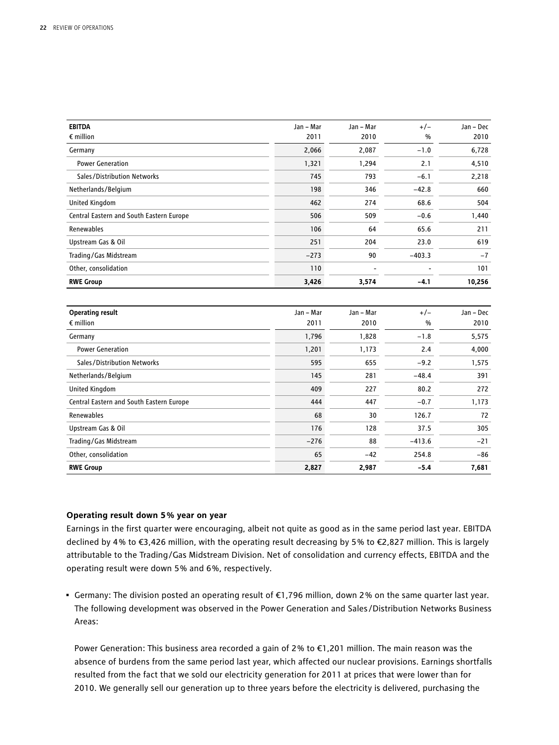| <b>EBITDA</b>                            | Jan - Mar | Jan - Mar | $+/-$         | Jan - Dec |
|------------------------------------------|-----------|-----------|---------------|-----------|
| $\epsilon$ million                       | 2011      | 2010      | $\frac{0}{0}$ | 2010      |
| Germany                                  | 2,066     | 2,087     | $-1.0$        | 6,728     |
| <b>Power Generation</b>                  | 1,321     | 1,294     | 2.1           | 4,510     |
| Sales/Distribution Networks              | 745       | 793       | $-6.1$        | 2,218     |
| Netherlands/Belgium                      | 198       | 346       | $-42.8$       | 660       |
| United Kingdom                           | 462       | 274       | 68.6          | 504       |
| Central Eastern and South Eastern Europe | 506       | 509       | $-0.6$        | 1,440     |
| Renewables                               | 106       | 64        | 65.6          | 211       |
| Upstream Gas & Oil                       | 251       | 204       | 23.0          | 619       |
| Trading/Gas Midstream                    | $-273$    | 90        | $-403.3$      | $-7$      |
| Other, consolidation                     | 110       |           |               | 101       |
| <b>RWE Group</b>                         | 3,426     | 3,574     | $-4.1$        | 10,256    |
|                                          |           |           |               |           |
| <b>Operating result</b>                  | Jan - Mar | Jan - Mar | $+/-$         | Jan - Dec |
| $\epsilon$ million                       | 2011      | 2010      | %             | 2010      |
| Germany                                  | 1,796     | 1,828     | $-1.8$        | 5,575     |
| <b>Power Generation</b>                  | 1,201     | 1,173     | 2.4           | 4,000     |
| Sales/Distribution Networks              | 595       | 655       | $-9.2$        | 1,575     |
| Netherlands/Belgium                      | 145       | 281       | $-48.4$       | 391       |
| United Kingdom                           | 409       | 227       | 80.2          | 272       |
| Central Eastern and South Eastern Europe | 444       | 447       | $-0.7$        | 1,173     |
| Renewables                               | 68        | 30        | 126.7         | 72        |
| Upstream Gas & Oil                       | 176       | 128       | 37.5          | 305       |
| Trading/Gas Midstream                    | $-276$    | 88        | $-413.6$      | $-21$     |
| Other, consolidation                     | 65        | $-42$     | 254.8         | $-86$     |
| <b>RWE Group</b>                         | 2,827     | 2,987     | $-5.4$        | 7,681     |

#### **Operating result down 5 % year on year**

Earnings in the first quarter were encouraging, albeit not quite as good as in the same period last year. EBITDA declined by 4 % to €3,426 million, with the operating result decreasing by 5 % to €2,827 million. This is largely attributable to the Trading/Gas Midstream Division. Net of consolidation and currency effects, EBITDA and the operating result were down 5 % and 6 %, respectively.

• Germany: The division posted an operating result of €1,796 million, down 2 % on the same quarter last year. The following development was observed in the Power Generation and Sales/Distribution Networks Business Areas:

Power Generation: This business area recorded a gain of 2 % to €1,201 million. The main reason was the absence of burdens from the same period last year, which affected our nuclear provisions. Earnings shortfalls resulted from the fact that we sold our electricity generation for 2011 at prices that were lower than for 2010. We generally sell our generation up to three years before the electricity is delivered, purchasing the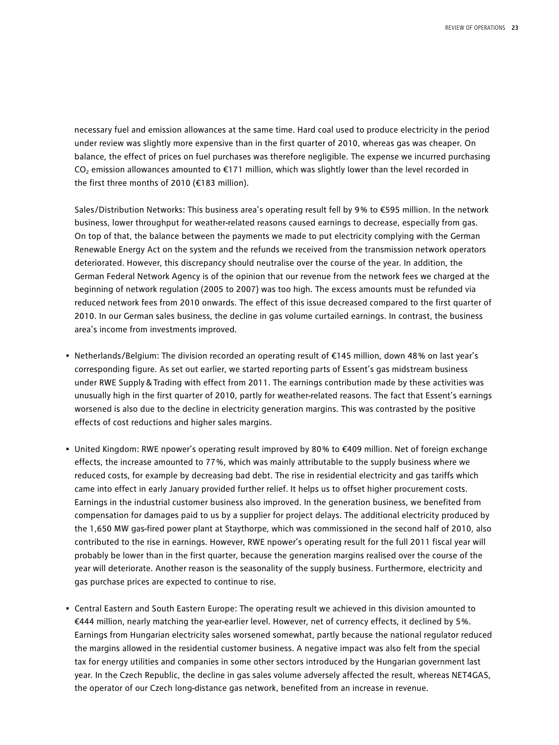necessary fuel and emission allowances at the same time. Hard coal used to produce electricity in the period under review was slightly more expensive than in the first quarter of 2010, whereas gas was cheaper. On balance, the effect of prices on fuel purchases was therefore negligible. The expense we incurred purchasing CO<sub>2</sub> emission allowances amounted to  $E$ 171 million, which was slightly lower than the level recorded in the first three months of 2010 (€183 million).

Sales/Distribution Networks: This business area's operating result fell by 9% to €595 million. In the network business, lower throughput for weather-related reasons caused earnings to decrease, especially from gas. On top of that, the balance between the payments we made to put electricity complying with the German Renewable Energy Act on the system and the refunds we received from the transmission network operators deteriorated. However, this discrepancy should neutralise over the course of the year. In addition, the German Federal Network Agency is of the opinion that our revenue from the network fees we charged at the beginning of network regulation (2005 to 2007) was too high. The excess amounts must be refunded via reduced network fees from 2010 onwards. The effect of this issue decreased compared to the first quarter of 2010. In our German sales business, the decline in gas volume curtailed earnings. In contrast, the business area's income from investments improved.

- Netherlands/Belgium: The division recorded an operating result of €145 million, down 48 % on last year's corresponding figure. As set out earlier, we started reporting parts of Essent's gas midstream business under RWE Supply & Trading with effect from 2011. The earnings contribution made by these activities was unusually high in the first quarter of 2010, partly for weather-related reasons. The fact that Essent's earnings worsened is also due to the decline in electricity generation margins. This was contrasted by the positive effects of cost reductions and higher sales margins.
- United Kingdom: RWE npower's operating result improved by 80 % to €409 million. Net of foreign exchange effects, the increase amounted to 77 %, which was mainly attributable to the supply business where we reduced costs, for example by decreasing bad debt. The rise in residential electricity and gas tariffs which came into effect in early January provided further relief. It helps us to offset higher procurement costs. Earnings in the industrial customer business also improved. In the generation business, we benefited from compensation for damages paid to us by a supplier for project delays. The additional electricity produced by the 1,650 MW gas-fired power plant at Staythorpe, which was commissioned in the second half of 2010, also contributed to the rise in earnings. However, RWE npower's operating result for the full 2011 fiscal year will probably be lower than in the first quarter, because the generation margins realised over the course of the year will deteriorate. Another reason is the seasonality of the supply business. Furthermore, electricity and gas purchase prices are expected to continue to rise.
- Central Eastern and South Eastern Europe: The operating result we achieved in this division amounted to €444 million, nearly matching the year-earlier level. However, net of currency effects, it declined by 5 %. Earnings from Hungarian electricity sales worsened somewhat, partly because the national regulator reduced the margins allowed in the residential customer business. A negative impact was also felt from the special tax for energy utilities and companies in some other sectors introduced by the Hungarian government last year. In the Czech Republic, the decline in gas sales volume adversely affected the result, whereas NET4GAS, the operator of our Czech long-distance gas network, benefited from an increase in revenue.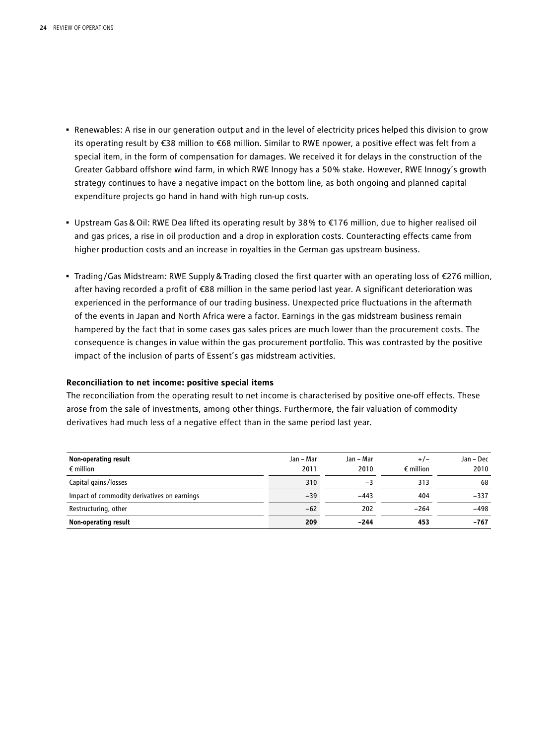- Renewables: A rise in our generation output and in the level of electricity prices helped this division to grow its operating result by €38 million to €68 million. Similar to RWE npower, a positive effect was felt from a special item, in the form of compensation for damages. We received it for delays in the construction of the Greater Gabbard offshore wind farm, in which RWE Innogy has a 50 % stake. However, RWE Innogy's growth strategy continues to have a negative impact on the bottom line, as both ongoing and planned capital expenditure projects go hand in hand with high run-up costs.
- Upstream Gas&Oil: RWE Dea lifted its operating result by 38 % to €176 million, due to higher realised oil and gas prices, a rise in oil production and a drop in exploration costs. Counteracting effects came from higher production costs and an increase in royalties in the German gas upstream business.
- Trading/Gas Midstream: RWE Supply&Trading closed the first quarter with an operating loss of €276 million, after having recorded a profit of €88 million in the same period last year. A significant deterioration was experienced in the performance of our trading business. Unexpected price fluctuations in the aftermath of the events in Japan and North Africa were a factor. Earnings in the gas midstream business remain hampered by the fact that in some cases gas sales prices are much lower than the procurement costs. The consequence is changes in value within the gas procurement portfolio. This was contrasted by the positive impact of the inclusion of parts of Essent's gas midstream activities.

#### **Reconciliation to net income: positive special items**

The reconciliation from the operating result to net income is characterised by positive one-off effects. These arose from the sale of investments, among other things. Furthermore, the fair valuation of commodity derivatives had much less of a negative effect than in the same period last year.

| Non-operating result                        | Jan – Mar | Jan – Mar | $+/-$              | Jan – Dec |
|---------------------------------------------|-----------|-----------|--------------------|-----------|
| $\epsilon$ million                          | 2011      | 2010      | $\epsilon$ million | 2010      |
| Capital gains/losses                        | 310       | $-3$      | 313                | 68        |
| Impact of commodity derivatives on earnings | $-39$     | $-443$    | 404                | $-337$    |
| Restructuring, other                        | $-62$     | 202       | $-264$             | $-498$    |
| Non-operating result                        | 209       | -244      | 453                | -767      |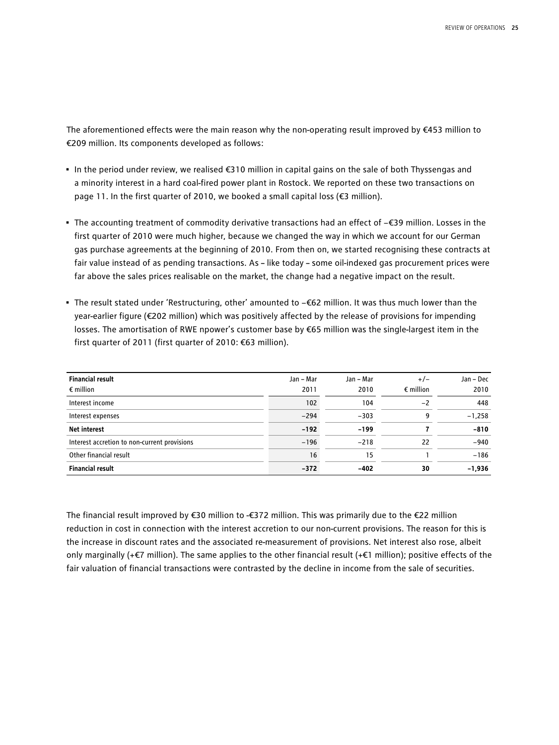The aforementioned effects were the main reason why the non-operating result improved by €453 million to €209 million. Its components developed as follows:

- In the period under review, we realised €310 million in capital gains on the sale of both Thyssengas and a minority interest in a hard coal-fired power plant in Rostock. We reported on these two transactions on page 11. In the first quarter of 2010, we booked a small capital loss (€3 million).
- The accounting treatment of commodity derivative transactions had an effect of −€39 million. Losses in the first quarter of 2010 were much higher, because we changed the way in which we account for our German gas purchase agreements at the beginning of 2010. From then on, we started recognising these contracts at fair value instead of as pending transactions. As – like today – some oil-indexed gas procurement prices were far above the sales prices realisable on the market, the change had a negative impact on the result.
- The result stated under 'Restructuring, other' amounted to −€62 million. It was thus much lower than the year-earlier figure (€202 million) which was positively affected by the release of provisions for impending losses. The amortisation of RWE npower's customer base by €65 million was the single-largest item in the first quarter of 2011 (first quarter of 2010: €63 million).

| <b>Financial result</b><br>$\epsilon$ million | Jan – Mar<br>2011 | Jan – Mar<br>2010 | $+/-$<br>$\epsilon$ million | Jan - Dec<br>2010 |
|-----------------------------------------------|-------------------|-------------------|-----------------------------|-------------------|
| Interest income                               | 102               | 104               | $-2$                        | 448               |
| Interest expenses                             | $-294$            | $-303$            | q                           | $-1,258$          |
| <b>Net interest</b>                           | $-192$            | $-199$            |                             | $-810$            |
| Interest accretion to non-current provisions  | $-196$            | $-218$            | 22                          | $-940$            |
| Other financial result                        | 16                | 15                |                             | $-186$            |
| <b>Financial result</b>                       | $-372$            | -402              | 30                          | $-1,936$          |

The financial result improved by €30 million to -€372 million. This was primarily due to the €22 million reduction in cost in connection with the interest accretion to our non-current provisions. The reason for this is the increase in discount rates and the associated re-measurement of provisions. Net interest also rose, albeit only marginally (+€7 million). The same applies to the other financial result (+€1 million); positive effects of the fair valuation of financial transactions were contrasted by the decline in income from the sale of securities.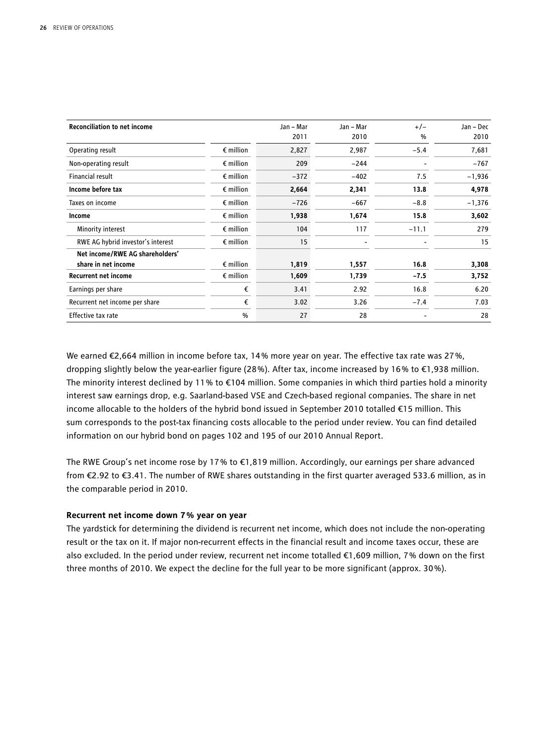| <b>Reconciliation to net income</b> |                    | Jan - Mar | Jan – Mar | $+/-$   | Jan – Dec |
|-------------------------------------|--------------------|-----------|-----------|---------|-----------|
|                                     |                    | 2011      | 2010      | $\%$    | 2010      |
| Operating result                    | $\epsilon$ million | 2,827     | 2,987     | $-5.4$  | 7,681     |
| Non-operating result                | $\epsilon$ million | 209       | $-244$    |         | $-767$    |
| Financial result                    | $\epsilon$ million | $-372$    | $-402$    | 7.5     | $-1,936$  |
| Income before tax                   | $\epsilon$ million | 2,664     | 2,341     | 13.8    | 4,978     |
| Taxes on income                     | $\epsilon$ million | $-726$    | $-667$    | $-8.8$  | $-1,376$  |
| Income                              | $\epsilon$ million | 1,938     | 1,674     | 15.8    | 3,602     |
| Minority interest                   | $\epsilon$ million | 104       | 117       | $-11.1$ | 279       |
| RWE AG hybrid investor's interest   | $\epsilon$ million | 15        |           |         | 15        |
| Net income/RWE AG shareholders'     |                    |           |           |         |           |
| share in net income                 | $\epsilon$ million | 1,819     | 1,557     | 16.8    | 3,308     |
| <b>Recurrent net income</b>         | $\epsilon$ million | 1,609     | 1,739     | $-7.5$  | 3,752     |
| Earnings per share                  | €                  | 3.41      | 2.92      | 16.8    | 6.20      |
| Recurrent net income per share      | €                  | 3.02      | 3.26      | $-7.4$  | 7.03      |
| Effective tax rate                  | $\frac{0}{0}$      | 27        | 28        |         | 28        |

We earned €2,664 million in income before tax, 14 % more year on year. The effective tax rate was 27 %, dropping slightly below the year-earlier figure (28 %). After tax, income increased by 16 % to €1,938 million. The minority interest declined by 11% to  $\epsilon$ 104 million. Some companies in which third parties hold a minority interest saw earnings drop, e.g. Saarland-based VSE and Czech-based regional companies. The share in net income allocable to the holders of the hybrid bond issued in September 2010 totalled €15 million. This sum corresponds to the post-tax financing costs allocable to the period under review. You can find detailed information on our hybrid bond on pages 102 and 195 of our 2010 Annual Report.

The RWE Group's net income rose by 17 % to €1,819 million. Accordingly, our earnings per share advanced from €2.92 to €3.41. The number of RWE shares outstanding in the first quarter averaged 533.6 million, as in the comparable period in 2010.

#### **Recurrent net income down 7 % year on year**

The yardstick for determining the dividend is recurrent net income, which does not include the non-operating result or the tax on it. If major non-recurrent effects in the financial result and income taxes occur, these are also excluded. In the period under review, recurrent net income totalled €1,609 million, 7 % down on the first three months of 2010. We expect the decline for the full year to be more significant (approx. 30 %).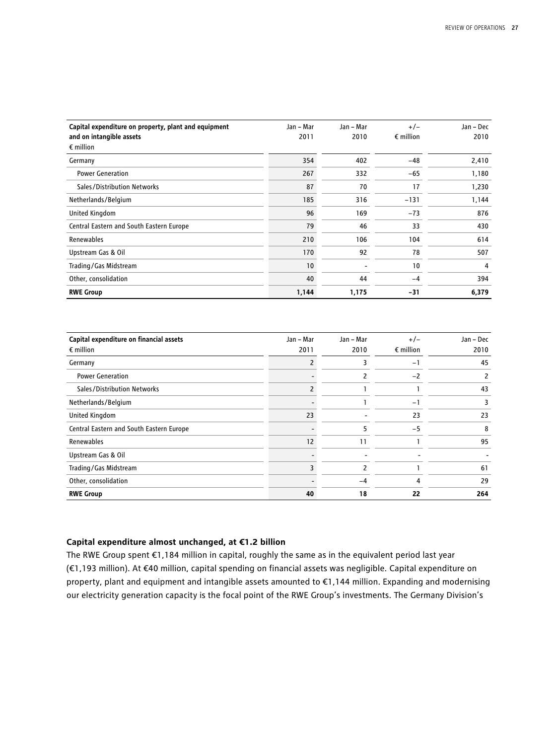| Capital expenditure on property, plant and equipment<br>and on intangible assets | Jan - Mar<br>2011 | Jan - Mar<br>2010 | $+/-$<br>$\epsilon$ million | Jan - Dec<br>2010 |
|----------------------------------------------------------------------------------|-------------------|-------------------|-----------------------------|-------------------|
| $\epsilon$ million                                                               |                   |                   |                             |                   |
| Germany                                                                          | 354               | 402               | $-48$                       | 2,410             |
| <b>Power Generation</b>                                                          | 267               | 332               | $-65$                       | 1,180             |
| Sales/Distribution Networks                                                      | 87                | 70                | 17                          | 1,230             |
| Netherlands/Belgium                                                              | 185               | 316               | $-131$                      | 1,144             |
| <b>United Kingdom</b>                                                            | 96                | 169               | $-73$                       | 876               |
| Central Eastern and South Eastern Europe                                         | 79                | 46                | 33                          | 430               |
| Renewables                                                                       | 210               | 106               | 104                         | 614               |
| Upstream Gas & Oil                                                               | 170               | 92                | 78                          | 507               |
| Trading/Gas Midstream                                                            | 10                |                   | 10                          | 4                 |
| Other, consolidation                                                             | 40                | 44                | $-4$                        | 394               |
| <b>RWE Group</b>                                                                 | 1,144             | 1,175             | -31                         | 6,379             |

| Capital expenditure on financial assets  | Jan - Mar | Jan - Mar | $+/-$              | Jan - Dec |
|------------------------------------------|-----------|-----------|--------------------|-----------|
| $\epsilon$ million                       | 2011      | 2010      | $\epsilon$ million | 2010      |
| Germany                                  |           | 3         | $-1$               | 45        |
| <b>Power Generation</b>                  |           | 2         | $-2$               | 2         |
| Sales/Distribution Networks              |           |           |                    | 43        |
| Netherlands/Belgium                      |           |           | $-1$               |           |
| United Kingdom                           | 23        |           | 23                 | 23        |
| Central Eastern and South Eastern Europe |           | 5         | $-5$               | 8         |
| Renewables                               | 12        | 11        |                    | 95        |
| Upstream Gas & Oil                       |           |           |                    |           |
| Trading/Gas Midstream                    |           | 2         |                    | 61        |
| Other, consolidation                     |           | $-4$      | 4                  | 29        |
| <b>RWE Group</b>                         | 40        | 18        | 22                 | 264       |

#### **Capital expenditure almost unchanged, at €1.2 billion**

The RWE Group spent €1,184 million in capital, roughly the same as in the equivalent period last year (€1,193 million). At €40 million, capital spending on financial assets was negligible. Capital expenditure on property, plant and equipment and intangible assets amounted to €1,144 million. Expanding and modernising our electricity generation capacity is the focal point of the RWE Group's investments. The Germany Division's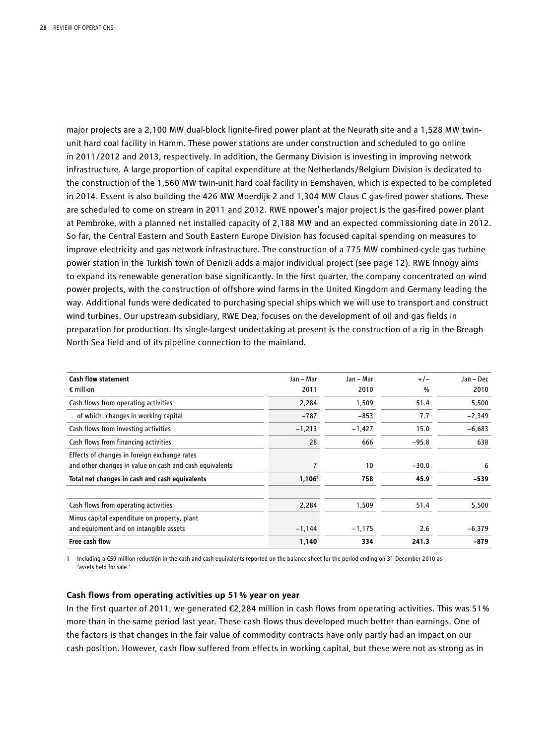major projects are a 2,100 MW dual-block lignite-fired power plant at the Neurath site and a 1,528 MW twinunit hard coal facility in Hamm. These power stations are under construction and scheduled to go online in 2011/2012 and 2013, respectively. In addition, the Germany Division is investing in improving network infrastructure. A large proportion of capital expenditure at the Netherlands/Belgium Division is dedicated to the construction of the 1,560 MW twin-unit hard coal facility in Eemshaven, which is expected to be completed in 2014. Essent is also building the 426 MW Moerdijk 2 and 1,304 MW Claus C gas-fired power stations. These are scheduled to come on stream in 2011 and 2012. RWE npower's major project is the gas-fired power plant at Pembroke, with a planned net installed capacity of 2,188 MW and an expected commissioning date in 2012. So far, the Central Eastern and South Eastern Europe Division has focused capital spending on measures to improve electricity and gas network infrastructure. The construction of a 775 MW combined-cycle gas turbine power station in the Turkish town of Denizli adds a major individual project (see page 12). RWE Innogy aims to expand its renewable generation base significantly. In the first quarter, the company concentrated on wind power projects, with the construction of offshore wind farms in the United Kingdom and Germany leading the way. Additional funds were dedicated to purchasing special ships which we will use to transport and construct wind turbines. Our upstream subsidiary, RWE Dea, focuses on the development of oil and gas fields in preparation for production. Its single-largest undertaking at present is the construction of a rig in the Breagh North Sea field and of its pipeline connection to the mainland.

| Cash flow statement<br>$\epsilon$ million                                                               | Jan – Mar<br>2011  | Jan – Mar<br>2010 | $+/-$<br>% | Jan – Dec<br>2010 |
|---------------------------------------------------------------------------------------------------------|--------------------|-------------------|------------|-------------------|
| Cash flows from operating activities                                                                    | 2,284              | 1,509             | 51.4       | 5,500             |
| of which: changes in working capital                                                                    | $-787$             | $-853$            | 7.7        | $-2,349$          |
| Cash flows from investing activities                                                                    | $-1,213$           | $-1,427$          | 15.0       | $-6,683$          |
| Cash flows from financing activities                                                                    | 28                 | 666               | $-95.8$    | 638               |
| Effects of changes in foreign exchange rates<br>and other changes in value on cash and cash equivalents |                    | 10                | $-30.0$    | 6                 |
| Total net changes in cash and cash equivalents                                                          | 1,106 <sup>1</sup> | 758               | 45.9       | $-539$            |
| Cash flows from operating activities                                                                    | 2,284              | 1,509             | 51.4       | 5,500             |
| Minus capital expenditure on property, plant                                                            |                    |                   |            |                   |
| and equipment and on intangible assets                                                                  | $-1,144$           | $-1,175$          | 2.6        | $-6,379$          |
| Free cash flow                                                                                          | 1,140              | 334               | 241.3      | -879              |

1 Including a €59 million reduction in the cash and cash equivalents reported on the balance sheet for the period ending on 31 December 2010 as 'assets held for sale.'

#### **Cash flows from operating activities up 51 % year on year**

In the first quarter of 2011, we generated €2,284 million in cash flows from operating activities. This was 51 % more than in the same period last year. These cash flows thus developed much better than earnings. One of the factors is that changes in the fair value of commodity contracts have only partly had an impact on our cash position. However, cash flow suffered from effects in working capital, but these were not as strong as in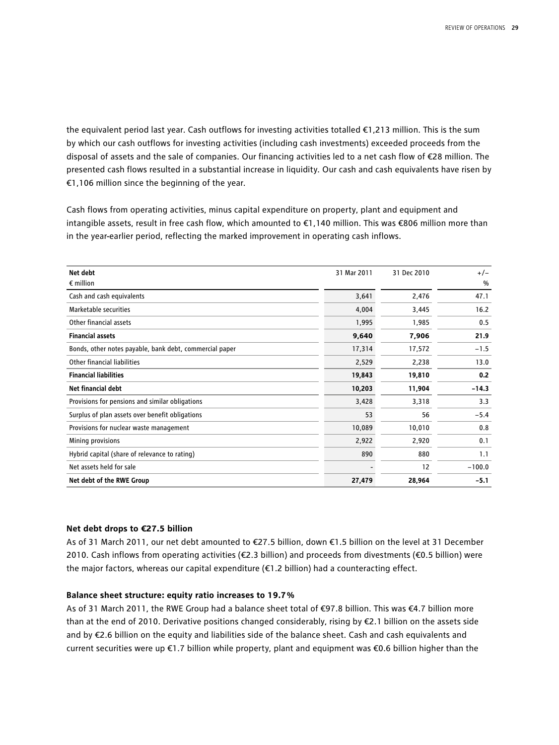the equivalent period last year. Cash outflows for investing activities totalled €1,213 million. This is the sum by which our cash outflows for investing activities (including cash investments) exceeded proceeds from the disposal of assets and the sale of companies. Our financing activities led to a net cash flow of €28 million. The presented cash flows resulted in a substantial increase in liquidity. Our cash and cash equivalents have risen by €1,106 million since the beginning of the year.

Cash flows from operating activities, minus capital expenditure on property, plant and equipment and intangible assets, result in free cash flow, which amounted to €1,140 million. This was €806 million more than in the year-earlier period, reflecting the marked improvement in operating cash inflows.

| Net debt                                                | 31 Mar 2011 | 31 Dec 2010 | $+/-$    |
|---------------------------------------------------------|-------------|-------------|----------|
| $\epsilon$ million                                      |             |             | $\%$     |
| Cash and cash equivalents                               | 3,641       | 2,476       | 47.1     |
| Marketable securities                                   | 4,004       | 3,445       | 16.2     |
| Other financial assets                                  | 1,995       | 1,985       | 0.5      |
| <b>Financial assets</b>                                 | 9,640       | 7,906       | 21.9     |
| Bonds, other notes payable, bank debt, commercial paper | 17,314      | 17,572      | $-1.5$   |
| Other financial liabilities                             | 2,529       | 2,238       | 13.0     |
| <b>Financial liabilities</b>                            | 19,843      | 19,810      | 0.2      |
| <b>Net financial debt</b>                               | 10,203      | 11,904      | $-14.3$  |
| Provisions for pensions and similar obligations         | 3,428       | 3,318       | 3.3      |
| Surplus of plan assets over benefit obligations         | 53          | 56          | $-5.4$   |
| Provisions for nuclear waste management                 | 10,089      | 10,010      | 0.8      |
| Mining provisions                                       | 2,922       | 2,920       | 0.1      |
| Hybrid capital (share of relevance to rating)           | 890         | 880         | 1.1      |
| Net assets held for sale                                |             | 12          | $-100.0$ |
| Net debt of the RWE Group                               | 27,479      | 28,964      | $-5.1$   |

#### **Net debt drops to €27.5 billion**

As of 31 March 2011, our net debt amounted to €27.5 billion, down €1.5 billion on the level at 31 December 2010. Cash inflows from operating activities (€2.3 billion) and proceeds from divestments (€0.5 billion) were the major factors, whereas our capital expenditure (€1.2 billion) had a counteracting effect.

#### **Balance sheet structure: equity ratio increases to 19.7 %**

As of 31 March 2011, the RWE Group had a balance sheet total of €97.8 billion. This was €4.7 billion more than at the end of 2010. Derivative positions changed considerably, rising by €2.1 billion on the assets side and by €2.6 billion on the equity and liabilities side of the balance sheet. Cash and cash equivalents and current securities were up €1.7 billion while property, plant and equipment was €0.6 billion higher than the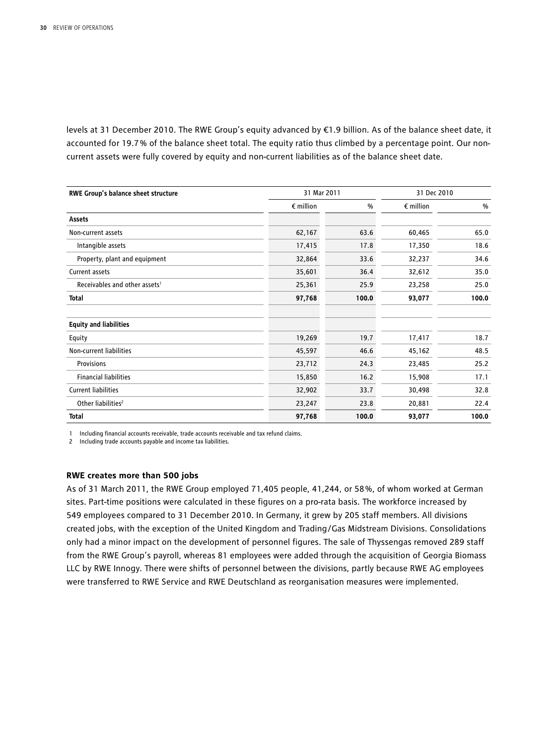levels at 31 December 2010. The RWE Group's equity advanced by €1.9 billion. As of the balance sheet date, it accounted for 19.7 % of the balance sheet total. The equity ratio thus climbed by a percentage point. Our noncurrent assets were fully covered by equity and non-current liabilities as of the balance sheet date.

| RWE Group's balance sheet structure       |                    | 31 Mar 2011 |                    |       |
|-------------------------------------------|--------------------|-------------|--------------------|-------|
|                                           | $\epsilon$ million | %           | $\epsilon$ million | %     |
| Assets                                    |                    |             |                    |       |
| Non-current assets                        | 62,167             | 63.6        | 60,465             | 65.0  |
| Intangible assets                         | 17,415             | 17.8        | 17,350             | 18.6  |
| Property, plant and equipment             | 32,864             | 33.6        | 32,237             | 34.6  |
| Current assets                            | 35,601             | 36.4        | 32,612             | 35.0  |
| Receivables and other assets <sup>1</sup> | 25,361             | 25.9        | 23,258             | 25.0  |
| Total                                     | 97,768             | 100.0       | 93,077             | 100.0 |
| <b>Equity and liabilities</b>             |                    |             |                    |       |
| Equity                                    | 19,269             | 19.7        | 17,417             | 18.7  |
| Non-current liabilities                   | 45,597             | 46.6        | 45,162             | 48.5  |
| Provisions                                | 23,712             | 24.3        | 23,485             | 25.2  |
| <b>Financial liabilities</b>              | 15,850             | 16.2        | 15,908             | 17.1  |
| <b>Current liabilities</b>                | 32,902             | 33.7        | 30,498             | 32.8  |
| Other liabilities <sup>2</sup>            | 23,247             | 23.8        | 20,881             | 22.4  |
| <b>Total</b>                              | 97,768             | 100.0       | 93,077             | 100.0 |

1 Including financial accounts receivable, trade accounts receivable and tax refund claims.

2 Including trade accounts payable and income tax liabilities.

#### **RWE creates more than 500 jobs**

As of 31 March 2011, the RWE Group employed 71,405 people, 41,244, or 58 %, of whom worked at German sites. Part-time positions were calculated in these figures on a pro-rata basis. The workforce increased by 549 employees compared to 31 December 2010. In Germany, it grew by 205 staff members. All divisions created jobs, with the exception of the United Kingdom and Trading/Gas Midstream Divisions. Consolidations only had a minor impact on the development of personnel figures. The sale of Thyssengas removed 289 staff from the RWE Group's payroll, whereas 81 employees were added through the acquisition of Georgia Biomass LLC by RWE Innogy. There were shifts of personnel between the divisions, partly because RWE AG employees were transferred to RWE Service and RWE Deutschland as reorganisation measures were implemented.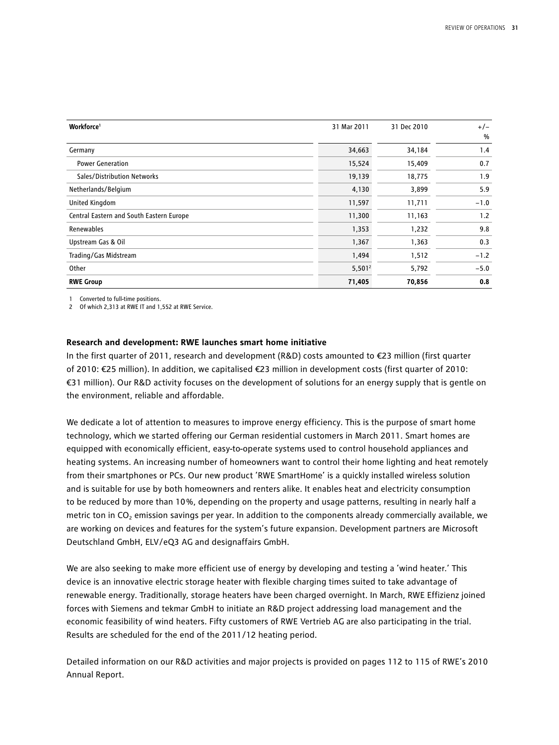| Workforce <sup>1</sup>                   | 31 Mar 2011 | 31 Dec 2010 | $+/-$  |
|------------------------------------------|-------------|-------------|--------|
|                                          |             |             | %      |
| Germany                                  | 34,663      | 34,184      | 1.4    |
| <b>Power Generation</b>                  | 15,524      | 15,409      | 0.7    |
| Sales/Distribution Networks              | 19,139      | 18,775      | 1.9    |
| Netherlands/Belgium                      | 4,130       | 3,899       | 5.9    |
| <b>United Kingdom</b>                    | 11,597      | 11,711      | $-1.0$ |
| Central Eastern and South Eastern Europe | 11,300      | 11,163      | 1.2    |
| Renewables                               | 1,353       | 1,232       | 9.8    |
| Upstream Gas & Oil                       | 1,367       | 1,363       | 0.3    |
| Trading/Gas Midstream                    | 1,494       | 1,512       | $-1.2$ |
| Other                                    | $5,501^2$   | 5,792       | $-5.0$ |
| <b>RWE Group</b>                         | 71,405      | 70,856      | 0.8    |

1 Converted to full-time positions.

2 Of which 2,313 at RWE IT and 1,552 at RWE Service.

#### **Research and development: RWE launches smart home initiative**

In the first quarter of 2011, research and development (R&D) costs amounted to €23 million (first quarter of 2010: €25 million). In addition, we capitalised €23 million in development costs (first quarter of 2010: €31 million). Our R&D activity focuses on the development of solutions for an energy supply that is gentle on the environment, reliable and affordable.

We dedicate a lot of attention to measures to improve energy efficiency. This is the purpose of smart home technology, which we started offering our German residential customers in March 2011. Smart homes are equipped with economically efficient, easy-to-operate systems used to control household appliances and heating systems. An increasing number of homeowners want to control their home lighting and heat remotely from their smartphones or PCs. Our new product 'RWE SmartHome' is a quickly installed wireless solution and is suitable for use by both homeowners and renters alike. It enables heat and electricity consumption to be reduced by more than 10%, depending on the property and usage patterns, resulting in nearly half a metric ton in  $CO<sub>2</sub>$  emission savings per year. In addition to the components already commercially available, we are working on devices and features for the system's future expansion. Development partners are Microsoft Deutschland GmbH, ELV/eQ3 AG and designaffairs GmbH.

We are also seeking to make more efficient use of energy by developing and testing a 'wind heater.' This device is an innovative electric storage heater with flexible charging times suited to take advantage of renewable energy. Traditionally, storage heaters have been charged overnight. In March, RWE Effizienz joined forces with Siemens and tekmar GmbH to initiate an R&D project addressing load management and the economic feasibility of wind heaters. Fifty customers of RWE Vertrieb AG are also participating in the trial. Results are scheduled for the end of the 2011/12 heating period.

Detailed information on our R&D activities and major projects is provided on pages 112 to 115 of RWE's 2010 Annual Report.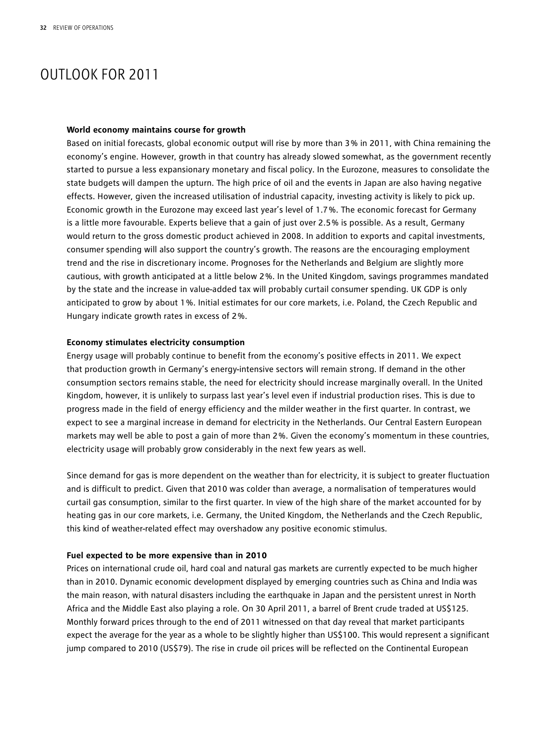## OUTLOOK FOR 2011

#### **World economy maintains course for growth**

Based on initial forecasts, global economic output will rise by more than 3 % in 2011, with China remaining the economy's engine. However, growth in that country has already slowed somewhat, as the government recently started to pursue a less expansionary monetary and fiscal policy. In the Eurozone, measures to consolidate the state budgets will dampen the upturn. The high price of oil and the events in Japan are also having negative effects. However, given the increased utilisation of industrial capacity, investing activity is likely to pick up. Economic growth in the Eurozone may exceed last year's level of 1.7 %. The economic forecast for Germany is a little more favourable. Experts believe that a gain of just over 2.5 % is possible. As a result, Germany would return to the gross domestic product achieved in 2008. In addition to exports and capital investments, consumer spending will also support the country's growth. The reasons are the encouraging employment trend and the rise in discretionary income. Prognoses for the Netherlands and Belgium are slightly more cautious, with growth anticipated at a little below 2 %. In the United Kingdom, savings programmes mandated by the state and the increase in value-added tax will probably curtail consumer spending. UK GDP is only anticipated to grow by about 1 %. Initial estimates for our core markets, i.e. Poland, the Czech Republic and Hungary indicate growth rates in excess of 2 %.

#### **Economy stimulates electricity consumption**

Energy usage will probably continue to benefit from the economy's positive effects in 2011. We expect that production growth in Germany's energy-intensive sectors will remain strong. If demand in the other consumption sectors remains stable, the need for electricity should increase marginally overall. In the United Kingdom, however, it is unlikely to surpass last year's level even if industrial production rises. This is due to progress made in the field of energy efficiency and the milder weather in the first quarter. In contrast, we expect to see a marginal increase in demand for electricity in the Netherlands. Our Central Eastern European markets may well be able to post a gain of more than 2 %. Given the economy's momentum in these countries, electricity usage will probably grow considerably in the next few years as well.

Since demand for gas is more dependent on the weather than for electricity, it is subject to greater fluctuation and is difficult to predict. Given that 2010 was colder than average, a normalisation of temperatures would curtail gas consumption, similar to the first quarter. In view of the high share of the market accounted for by heating gas in our core markets, i.e. Germany, the United Kingdom, the Netherlands and the Czech Republic, this kind of weather-related effect may overshadow any positive economic stimulus.

#### **Fuel expected to be more expensive than in 2010**

Prices on international crude oil, hard coal and natural gas markets are currently expected to be much higher than in 2010. Dynamic economic development displayed by emerging countries such as China and India was the main reason, with natural disasters including the earthquake in Japan and the persistent unrest in North Africa and the Middle East also playing a role. On 30 April 2011, a barrel of Brent crude traded at US\$125. Monthly forward prices through to the end of 2011 witnessed on that day reveal that market participants expect the average for the year as a whole to be slightly higher than US\$100. This would represent a significant jump compared to 2010 (US\$79). The rise in crude oil prices will be reflected on the Continental European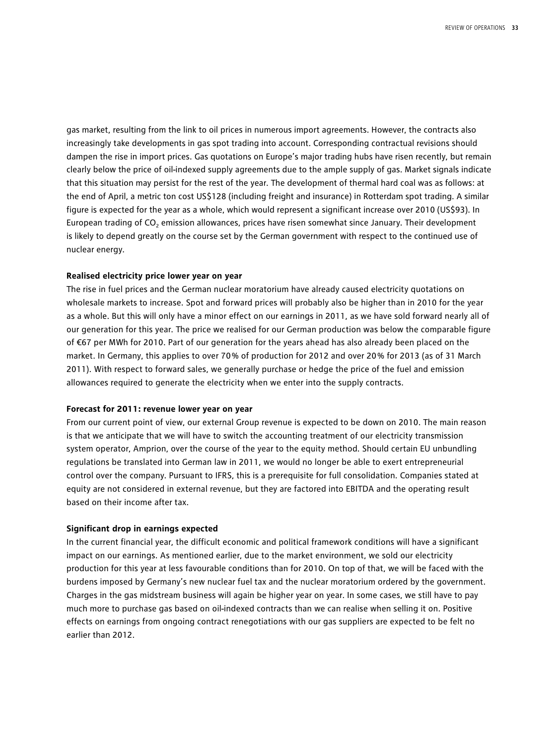gas market, resulting from the link to oil prices in numerous import agreements. However, the contracts also increasingly take developments in gas spot trading into account. Corresponding contractual revisions should dampen the rise in import prices. Gas quotations on Europe's major trading hubs have risen recently, but remain clearly below the price of oil-indexed supply agreements due to the ample supply of gas. Market signals indicate that this situation may persist for the rest of the year. The development of thermal hard coal was as follows: at the end of April, a metric ton cost US\$128 (including freight and insurance) in Rotterdam spot trading. A similar figure is expected for the year as a whole, which would represent a significant increase over 2010 (US\$93). In European trading of CO<sub>2</sub> emission allowances, prices have risen somewhat since January. Their development is likely to depend greatly on the course set by the German government with respect to the continued use of nuclear energy.

#### **Realised electricity price lower year on year**

The rise in fuel prices and the German nuclear moratorium have already caused electricity quotations on wholesale markets to increase. Spot and forward prices will probably also be higher than in 2010 for the year as a whole. But this will only have a minor effect on our earnings in 2011, as we have sold forward nearly all of our generation for this year. The price we realised for our German production was below the comparable figure of €67 per MWh for 2010. Part of our generation for the years ahead has also already been placed on the market. In Germany, this applies to over 70 % of production for 2012 and over 20 % for 2013 (as of 31 March 2011). With respect to forward sales, we generally purchase or hedge the price of the fuel and emission allowances required to generate the electricity when we enter into the supply contracts.

#### **Forecast for 2011: revenue lower year on year**

From our current point of view, our external Group revenue is expected to be down on 2010. The main reason is that we anticipate that we will have to switch the accounting treatment of our electricity transmission system operator, Amprion, over the course of the year to the equity method. Should certain EU unbundling regulations be translated into German law in 2011, we would no longer be able to exert entrepreneurial control over the company. Pursuant to IFRS, this is a prerequisite for full consolidation. Companies stated at equity are not considered in external revenue, but they are factored into EBITDA and the operating result based on their income after tax.

#### **Significant drop in earnings expected**

In the current financial year, the difficult economic and political framework conditions will have a significant impact on our earnings. As mentioned earlier, due to the market environment, we sold our electricity production for this year at less favourable conditions than for 2010. On top of that, we will be faced with the burdens imposed by Germany's new nuclear fuel tax and the nuclear moratorium ordered by the government. Charges in the gas midstream business will again be higher year on year. In some cases, we still have to pay much more to purchase gas based on oil-indexed contracts than we can realise when selling it on. Positive effects on earnings from ongoing contract renegotiations with our gas suppliers are expected to be felt no earlier than 2012.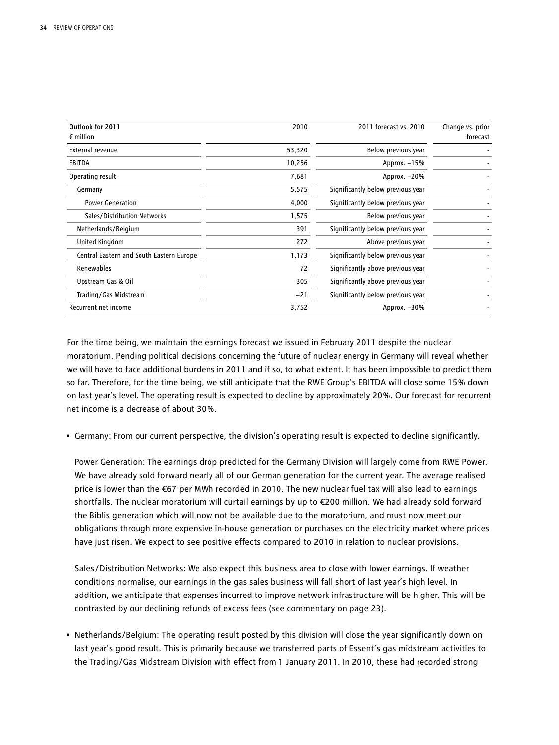| Outlook for 2011<br>$\epsilon$ million   | 2010   | 2011 forecast vs. 2010            | Change vs. prior<br>forecast |
|------------------------------------------|--------|-----------------------------------|------------------------------|
| External revenue                         | 53,320 | Below previous year               |                              |
| <b>EBITDA</b>                            | 10,256 | Approx. -15%                      |                              |
| Operating result                         | 7,681  | Approx. -20%                      |                              |
| Germany                                  | 5,575  | Significantly below previous year |                              |
| <b>Power Generation</b>                  | 4,000  | Significantly below previous year |                              |
| Sales/Distribution Networks              | 1,575  | Below previous year               |                              |
| Netherlands/Belgium                      | 391    | Significantly below previous year |                              |
| United Kingdom                           | 272    | Above previous year               |                              |
| Central Eastern and South Eastern Europe | 1,173  | Significantly below previous year |                              |
| Renewables                               | 72     | Significantly above previous year |                              |
| Upstream Gas & Oil                       | 305    | Significantly above previous year |                              |
| Trading/Gas Midstream                    | $-21$  | Significantly below previous year |                              |
| Recurrent net income                     | 3,752  | Approx. $-30\%$                   |                              |

For the time being, we maintain the earnings forecast we issued in February 2011 despite the nuclear moratorium. Pending political decisions concerning the future of nuclear energy in Germany will reveal whether we will have to face additional burdens in 2011 and if so, to what extent. It has been impossible to predict them so far. Therefore, for the time being, we still anticipate that the RWE Group's EBITDA will close some 15 % down on last year's level. The operating result is expected to decline by approximately 20 %. Our forecast for recurrent net income is a decrease of about 30 %.

• Germany: From our current perspective, the division's operating result is expected to decline significantly.

Power Generation: The earnings drop predicted for the Germany Division will largely come from RWE Power. We have already sold forward nearly all of our German generation for the current year. The average realised price is lower than the €67 per MWh recorded in 2010. The new nuclear fuel tax will also lead to earnings shortfalls. The nuclear moratorium will curtail earnings by up to €200 million. We had already sold forward the Biblis generation which will now not be available due to the moratorium, and must now meet our obligations through more expensive in-house generation or purchases on the electricity market where prices have just risen. We expect to see positive effects compared to 2010 in relation to nuclear provisions.

Sales/Distribution Networks: We also expect this business area to close with lower earnings. If weather conditions normalise, our earnings in the gas sales business will fall short of last year's high level. In addition, we anticipate that expenses incurred to improve network infrastructure will be higher. This will be contrasted by our declining refunds of excess fees (see commentary on page 23).

• Netherlands/Belgium: The operating result posted by this division will close the year significantly down on last year's good result. This is primarily because we transferred parts of Essent's gas midstream activities to the Trading/Gas Midstream Division with effect from 1 January 2011. In 2010, these had recorded strong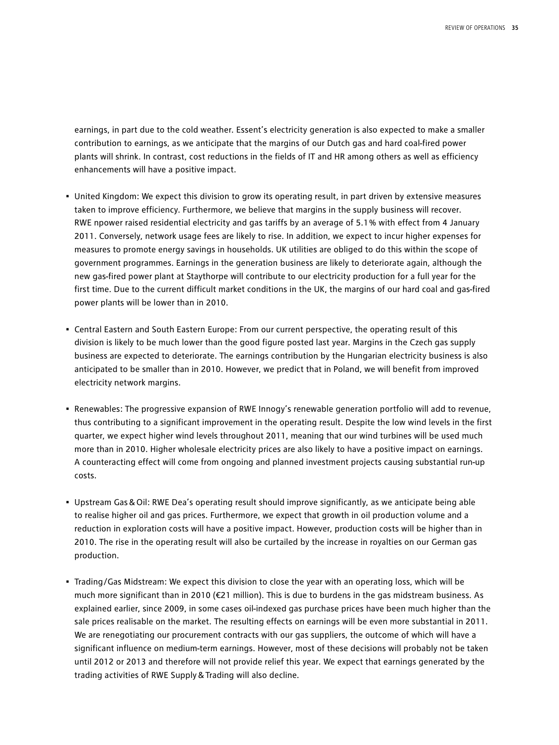earnings, in part due to the cold weather. Essent's electricity generation is also expected to make a smaller contribution to earnings, as we anticipate that the margins of our Dutch gas and hard coal-fired power plants will shrink. In contrast, cost reductions in the fields of IT and HR among others as well as efficiency enhancements will have a positive impact.

- United Kingdom: We expect this division to grow its operating result, in part driven by extensive measures taken to improve efficiency. Furthermore, we believe that margins in the supply business will recover. RWE npower raised residential electricity and gas tariffs by an average of 5.1 % with effect from 4 January 2011. Conversely, network usage fees are likely to rise. In addition, we expect to incur higher expenses for measures to promote energy savings in households. UK utilities are obliged to do this within the scope of government programmes. Earnings in the generation business are likely to deteriorate again, although the new gas-fired power plant at Staythorpe will contribute to our electricity production for a full year for the first time. Due to the current difficult market conditions in the UK, the margins of our hard coal and gas-fired power plants will be lower than in 2010.
- Central Eastern and South Eastern Europe: From our current perspective, the operating result of this division is likely to be much lower than the good figure posted last year. Margins in the Czech gas supply business are expected to deteriorate. The earnings contribution by the Hungarian electricity business is also anticipated to be smaller than in 2010. However, we predict that in Poland, we will benefit from improved electricity network margins.
- Renewables: The progressive expansion of RWE Innogy's renewable generation portfolio will add to revenue, thus contributing to a significant improvement in the operating result. Despite the low wind levels in the first quarter, we expect higher wind levels throughout 2011, meaning that our wind turbines will be used much more than in 2010. Higher wholesale electricity prices are also likely to have a positive impact on earnings. A counteracting effect will come from ongoing and planned investment projects causing substantial run-up costs.
- Upstream Gas&Oil: RWE Dea's operating result should improve significantly, as we anticipate being able to realise higher oil and gas prices. Furthermore, we expect that growth in oil production volume and a reduction in exploration costs will have a positive impact. However, production costs will be higher than in 2010. The rise in the operating result will also be curtailed by the increase in royalties on our German gas production.
- Trading/Gas Midstream: We expect this division to close the year with an operating loss, which will be much more significant than in 2010 (€21 million). This is due to burdens in the gas midstream business. As explained earlier, since 2009, in some cases oil-indexed gas purchase prices have been much higher than the sale prices realisable on the market. The resulting effects on earnings will be even more substantial in 2011. We are renegotiating our procurement contracts with our gas suppliers, the outcome of which will have a significant influence on medium-term earnings. However, most of these decisions will probably not be taken until 2012 or 2013 and therefore will not provide relief this year. We expect that earnings generated by the trading activities of RWE Supply&Trading will also decline.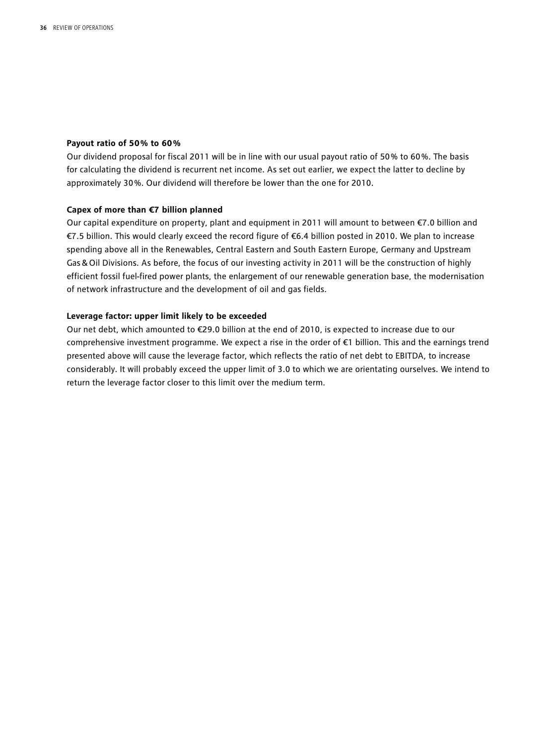#### **Payout ratio of 50 % to 60 %**

Our dividend proposal for fiscal 2011 will be in line with our usual payout ratio of 50 % to 60 %. The basis for calculating the dividend is recurrent net income. As set out earlier, we expect the latter to decline by approximately 30 %. Our dividend will therefore be lower than the one for 2010.

#### **Capex of more than €7 billion planned**

Our capital expenditure on property, plant and equipment in 2011 will amount to between €7.0 billion and €7.5 billion. This would clearly exceed the record figure of €6.4 billion posted in 2010. We plan to increase spending above all in the Renewables, Central Eastern and South Eastern Europe, Germany and Upstream Gas&Oil Divisions. As before, the focus of our investing activity in 2011 will be the construction of highly efficient fossil fuel-fired power plants, the enlargement of our renewable generation base, the modernisation of network infrastructure and the development of oil and gas fields.

#### **Leverage factor: upper limit likely to be exceeded**

Our net debt, which amounted to €29.0 billion at the end of 2010, is expected to increase due to our comprehensive investment programme. We expect a rise in the order of €1 billion. This and the earnings trend presented above will cause the leverage factor, which reflects the ratio of net debt to EBITDA, to increase considerably. It will probably exceed the upper limit of 3.0 to which we are orientating ourselves. We intend to return the leverage factor closer to this limit over the medium term.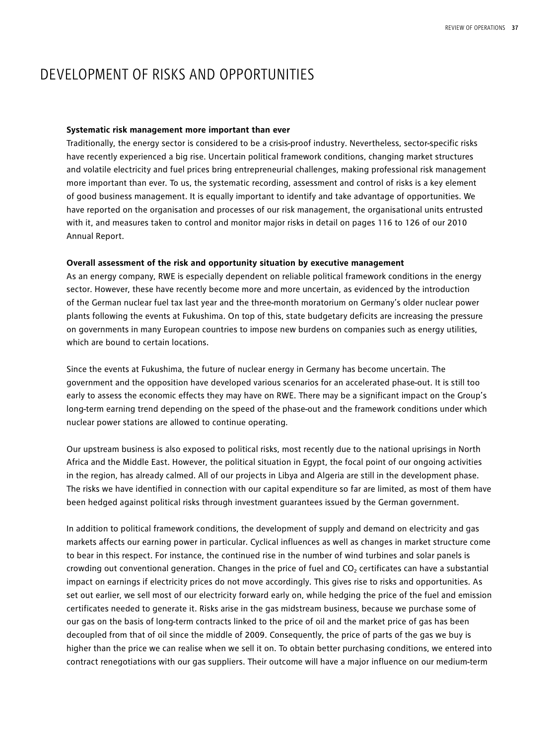## DEVELOPMENT OF RISKS AND OPPORTUNITIES

#### **Systematic risk management more important than ever**

Traditionally, the energy sector is considered to be a crisis-proof industry. Nevertheless, sector-specific risks have recently experienced a big rise. Uncertain political framework conditions, changing market structures and volatile electricity and fuel prices bring entrepreneurial challenges, making professional risk management more important than ever. To us, the systematic recording, assessment and control of risks is a key element of good business management. It is equally important to identify and take advantage of opportunities. We have reported on the organisation and processes of our risk management, the organisational units entrusted with it, and measures taken to control and monitor major risks in detail on pages 116 to 126 of our 2010 Annual Report.

#### **Overall assessment of the risk and opportunity situation by executive management**

As an energy company, RWE is especially dependent on reliable political framework conditions in the energy sector. However, these have recently become more and more uncertain, as evidenced by the introduction of the German nuclear fuel tax last year and the three-month moratorium on Germany's older nuclear power plants following the events at Fukushima. On top of this, state budgetary deficits are increasing the pressure on governments in many European countries to impose new burdens on companies such as energy utilities, which are bound to certain locations.

Since the events at Fukushima, the future of nuclear energy in Germany has become uncertain. The government and the opposition have developed various scenarios for an accelerated phase-out. It is still too early to assess the economic effects they may have on RWE. There may be a significant impact on the Group's long-term earning trend depending on the speed of the phase-out and the framework conditions under which nuclear power stations are allowed to continue operating.

Our upstream business is also exposed to political risks, most recently due to the national uprisings in North Africa and the Middle East. However, the political situation in Egypt, the focal point of our ongoing activities in the region, has already calmed. All of our projects in Libya and Algeria are still in the development phase. The risks we have identified in connection with our capital expenditure so far are limited, as most of them have been hedged against political risks through investment guarantees issued by the German government.

In addition to political framework conditions, the development of supply and demand on electricity and gas markets affects our earning power in particular. Cyclical influences as well as changes in market structure come to bear in this respect. For instance, the continued rise in the number of wind turbines and solar panels is crowding out conventional generation. Changes in the price of fuel and CO<sub>2</sub> certificates can have a substantial impact on earnings if electricity prices do not move accordingly. This gives rise to risks and opportunities. As set out earlier, we sell most of our electricity forward early on, while hedging the price of the fuel and emission certificates needed to generate it. Risks arise in the gas midstream business, because we purchase some of our gas on the basis of long-term contracts linked to the price of oil and the market price of gas has been decoupled from that of oil since the middle of 2009. Consequently, the price of parts of the gas we buy is higher than the price we can realise when we sell it on. To obtain better purchasing conditions, we entered into contract renegotiations with our gas suppliers. Their outcome will have a major influence on our medium-term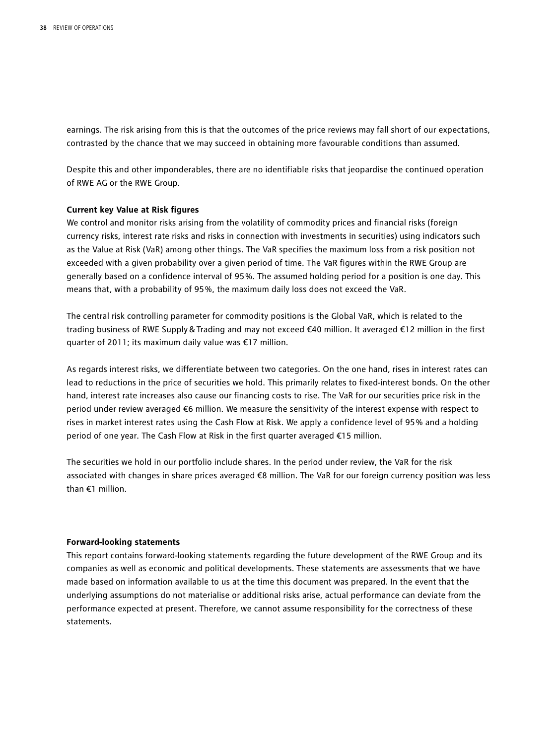earnings. The risk arising from this is that the outcomes of the price reviews may fall short of our expectations, contrasted by the chance that we may succeed in obtaining more favourable conditions than assumed.

Despite this and other imponderables, there are no identifiable risks that jeopardise the continued operation of RWE AG or the RWE Group.

#### **Current key Value at Risk figures**

We control and monitor risks arising from the volatility of commodity prices and financial risks (foreign currency risks, interest rate risks and risks in connection with investments in securities) using indicators such as the Value at Risk (VaR) among other things. The VaR specifies the maximum loss from a risk position not exceeded with a given probability over a given period of time. The VaR figures within the RWE Group are generally based on a confidence interval of 95 %. The assumed holding period for a position is one day. This means that, with a probability of 95 %, the maximum daily loss does not exceed the VaR.

The central risk controlling parameter for commodity positions is the Global VaR, which is related to the trading business of RWE Supply&Trading and may not exceed €40 million. It averaged €12 million in the first quarter of 2011; its maximum daily value was €17 million.

As regards interest risks, we differentiate between two categories. On the one hand, rises in interest rates can lead to reductions in the price of securities we hold. This primarily relates to fixed-interest bonds. On the other hand, interest rate increases also cause our financing costs to rise. The VaR for our securities price risk in the period under review averaged €6 million. We measure the sensitivity of the interest expense with respect to rises in market interest rates using the Cash Flow at Risk. We apply a confidence level of 95 % and a holding period of one year. The Cash Flow at Risk in the first quarter averaged €15 million.

The securities we hold in our portfolio include shares. In the period under review, the VaR for the risk associated with changes in share prices averaged €8 million. The VaR for our foreign currency position was less than €1 million.

#### **Forward-looking statements**

This report contains forward-looking statements regarding the future development of the RWE Group and its companies as well as economic and political developments. These statements are assessments that we have made based on information available to us at the time this document was prepared. In the event that the underlying assumptions do not materialise or additional risks arise, actual performance can deviate from the performance expected at present. Therefore, we cannot assume responsibility for the correctness of these statements.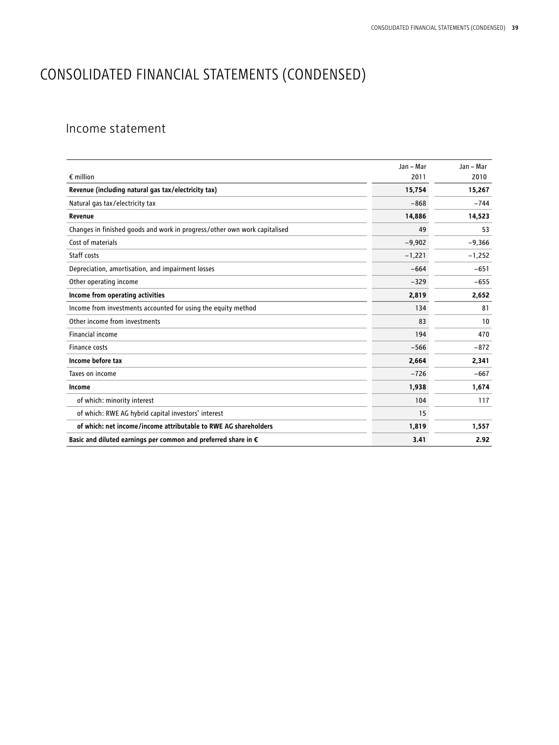## CONSOLIDATED FINANCIAL STATEMENTS (CONDENSED)

## Income statement

|                                                                           | Jan - Mar | Jan - Mar |
|---------------------------------------------------------------------------|-----------|-----------|
| $\epsilon$ million                                                        | 2011      | 2010      |
| Revenue (including natural gas tax/electricity tax)                       | 15,754    | 15,267    |
| Natural gas tax/electricity tax                                           | $-868$    | $-744$    |
| Revenue                                                                   | 14,886    | 14,523    |
| Changes in finished goods and work in progress/other own work capitalised | 49        | 53        |
| Cost of materials                                                         | $-9,902$  | $-9,366$  |
| Staff costs                                                               | $-1,221$  | $-1,252$  |
| Depreciation, amortisation, and impairment losses                         | $-664$    | $-651$    |
| Other operating income                                                    | $-329$    | $-655$    |
| Income from operating activities                                          | 2,819     | 2,652     |
| Income from investments accounted for using the equity method             | 134       | 81        |
| Other income from investments                                             | 83        | 10        |
| Financial income                                                          | 194       | 470       |
| Finance costs                                                             | $-566$    | $-872$    |
| Income before tax                                                         | 2,664     | 2,341     |
| Taxes on income                                                           | $-726$    | $-667$    |
| Income                                                                    | 1,938     | 1,674     |
| of which: minority interest                                               | 104       | 117       |
| of which: RWE AG hybrid capital investors' interest                       | 15        |           |
| of which: net income/income attributable to RWE AG shareholders           | 1,819     | 1,557     |
| Basic and diluted earnings per common and preferred share in €            | 3.41      | 2.92      |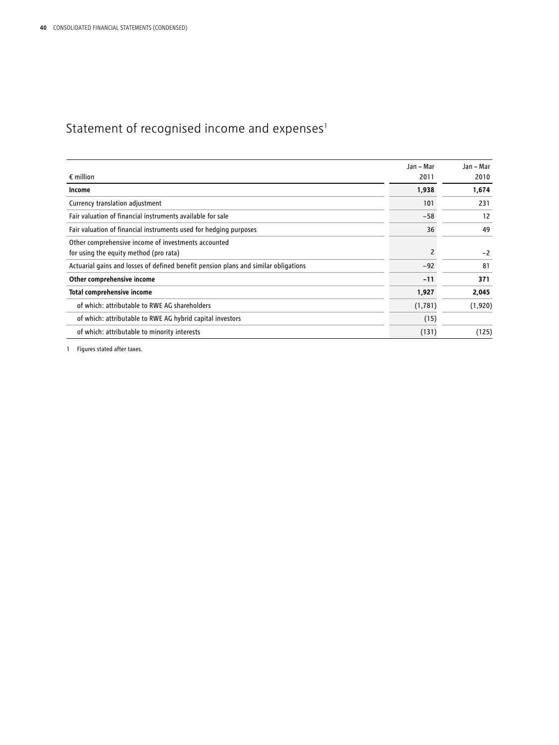## Statement of recognised income and  $expenses<sup>1</sup>$

|                                                                                     | Jan - Mar | Jan - Mar |
|-------------------------------------------------------------------------------------|-----------|-----------|
| $\epsilon$ million                                                                  | 2011      | 2010      |
| Income                                                                              | 1,938     | 1,674     |
| Currency translation adjustment                                                     | 101       | 231       |
| Fair valuation of financial instruments available for sale                          | $-58$     | 12        |
| Fair valuation of financial instruments used for hedging purposes                   | 36        | 49        |
| Other comprehensive income of investments accounted                                 |           |           |
| for using the equity method (pro rata)                                              | 2         | $-2$      |
| Actuarial gains and losses of defined benefit pension plans and similar obligations | $-92$     | 81        |
| Other comprehensive income                                                          | $-11$     | 371       |
| <b>Total comprehensive income</b>                                                   | 1,927     | 2,045     |
| of which: attributable to RWE AG shareholders                                       | (1, 781)  | (1,920)   |
| of which: attributable to RWE AG hybrid capital investors                           | (15)      |           |
| of which: attributable to minority interests                                        | (131)     | (125)     |

1 Figures stated after taxes.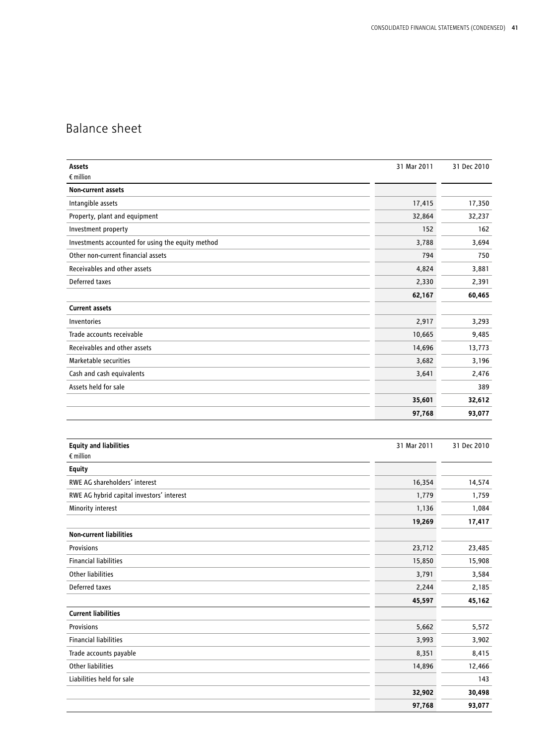## Balance sheet

| Assets                                            | 31 Mar 2011 | 31 Dec 2010 |
|---------------------------------------------------|-------------|-------------|
| $\epsilon$ million                                |             |             |
| Non-current assets                                |             |             |
| Intangible assets                                 | 17,415      | 17,350      |
| Property, plant and equipment                     | 32,864      | 32,237      |
| Investment property                               | 152         | 162         |
| Investments accounted for using the equity method | 3,788       | 3,694       |
| Other non-current financial assets                | 794         | 750         |
| Receivables and other assets                      | 4,824       | 3,881       |
| Deferred taxes                                    | 2,330       | 2,391       |
|                                                   | 62,167      | 60,465      |
| <b>Current assets</b>                             |             |             |
| Inventories                                       | 2,917       | 3,293       |
| Trade accounts receivable                         | 10,665      | 9,485       |
| Receivables and other assets                      | 14,696      | 13,773      |
| Marketable securities                             | 3,682       | 3,196       |
| Cash and cash equivalents                         | 3,641       | 2,476       |
| Assets held for sale                              |             | 389         |
|                                                   | 35,601      | 32,612      |
|                                                   | 97,768      | 93,077      |
|                                                   |             |             |
|                                                   |             |             |
| <b>Equity and liabilities</b>                     | 31 Mar 2011 | 31 Dec 2010 |
| $\epsilon$ million                                |             |             |
| <b>Equity</b>                                     |             |             |
| RWE AG shareholders' interest                     | 16,354      | 14,574      |
| RWE AG hybrid capital investors' interest         | 1,779       | 1,759       |
| Minority interest                                 | 1,136       | 1,084       |
|                                                   | 19,269      | 17,417      |
| <b>Non-current liabilities</b>                    |             |             |
| Provisions                                        | 23,712      | 23,485      |
| <b>Financial liabilities</b>                      | 15,850      | 15,908      |
| <b>Other liabilities</b>                          | 3,791       | 3,584       |
| Deferred taxes                                    | 2,244       | 2,185       |
|                                                   | 45,597      | 45,162      |
| <b>Current liabilities</b>                        |             |             |
| Provisions                                        | 5,662       | 5,572       |
| <b>Financial liabilities</b>                      | 3,993       | 3,902       |
| Trade accounts payable                            | 8,351       | 8,415       |
| Other liabilities                                 | 14,896      | 12,466      |
| Liabilities held for sale                         |             | 143         |
|                                                   | 32,902      | 30,498      |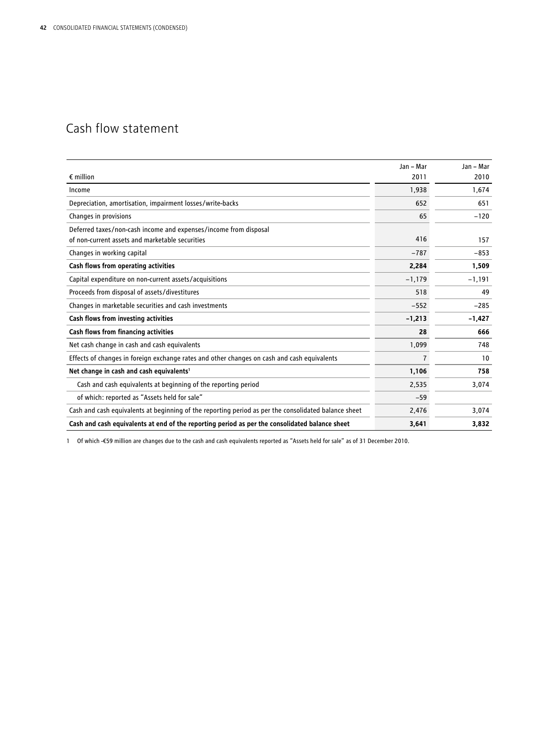## Cash flow statement

|                                                                                                      | Jan - Mar | Jan - Mar |
|------------------------------------------------------------------------------------------------------|-----------|-----------|
| $\epsilon$ million                                                                                   | 2011      | 2010      |
| Income                                                                                               | 1,938     | 1,674     |
| Depreciation, amortisation, impairment losses/write-backs                                            | 652       | 651       |
| Changes in provisions                                                                                | 65        | $-120$    |
| Deferred taxes/non-cash income and expenses/income from disposal                                     |           |           |
| of non-current assets and marketable securities                                                      | 416       | 157       |
| Changes in working capital                                                                           | $-787$    | $-853$    |
| Cash flows from operating activities                                                                 | 2,284     | 1,509     |
| Capital expenditure on non-current assets/acquisitions                                               | $-1,179$  | $-1,191$  |
| Proceeds from disposal of assets/divestitures                                                        | 518       | 49        |
| Changes in marketable securities and cash investments                                                | $-552$    | $-285$    |
| Cash flows from investing activities                                                                 | $-1,213$  | $-1,427$  |
| Cash flows from financing activities                                                                 | 28        | 666       |
| Net cash change in cash and cash equivalents                                                         | 1,099     | 748       |
| Effects of changes in foreign exchange rates and other changes on cash and cash equivalents          | 7         | 10        |
| Net change in cash and cash equivalents <sup>1</sup>                                                 | 1,106     | 758       |
| Cash and cash equivalents at beginning of the reporting period                                       | 2,535     | 3,074     |
| of which: reported as "Assets held for sale"                                                         | $-59$     |           |
| Cash and cash equivalents at beginning of the reporting period as per the consolidated balance sheet | 2,476     | 3,074     |
| Cash and cash equivalents at end of the reporting period as per the consolidated balance sheet       | 3,641     | 3,832     |

1 Of which -€59 million are changes due to the cash and cash equivalents reported as "Assets held for sale" as of 31 December 2010.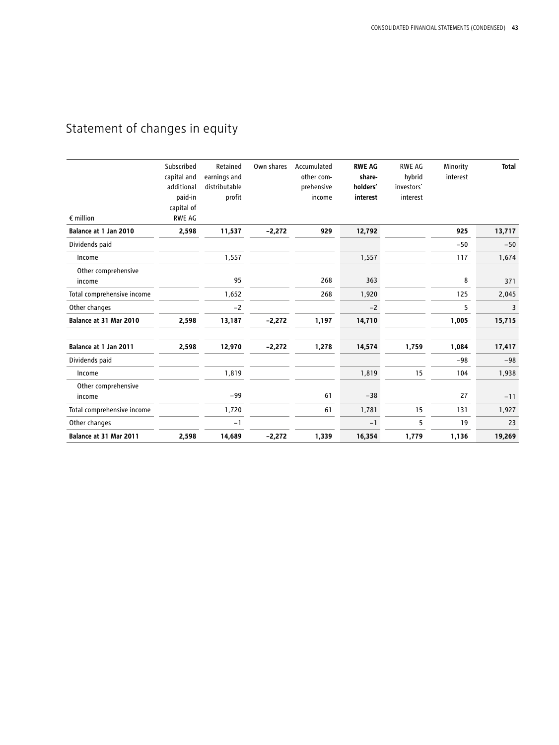## Statement of changes in equity

| $\epsilon$ million            | Subscribed<br>capital and<br>additional<br>paid-in<br>capital of<br><b>RWE AG</b> | Retained<br>earnings and<br>distributable<br>profit | Own shares | Accumulated<br>other com-<br>prehensive<br>income | <b>RWE AG</b><br>share-<br>holders'<br>interest | <b>RWE AG</b><br>hybrid<br>investors'<br>interest | Minority<br>interest | <b>Total</b> |
|-------------------------------|-----------------------------------------------------------------------------------|-----------------------------------------------------|------------|---------------------------------------------------|-------------------------------------------------|---------------------------------------------------|----------------------|--------------|
| Balance at 1 Jan 2010         | 2,598                                                                             | 11,537                                              | $-2,272$   | 929                                               | 12,792                                          |                                                   | 925                  | 13,717       |
| Dividends paid                |                                                                                   |                                                     |            |                                                   |                                                 |                                                   | $-50$                | $-50$        |
| Income                        |                                                                                   | 1,557                                               |            |                                                   | 1,557                                           |                                                   | 117                  | 1,674        |
| Other comprehensive<br>income |                                                                                   | 95                                                  |            | 268                                               | 363                                             |                                                   | 8                    | 371          |
| Total comprehensive income    |                                                                                   | 1,652                                               |            | 268                                               | 1,920                                           |                                                   | 125                  | 2,045        |
| Other changes                 |                                                                                   | $-2$                                                |            |                                                   | $-2$                                            |                                                   | 5                    | 3            |
| Balance at 31 Mar 2010        | 2,598                                                                             | 13,187                                              | $-2,272$   | 1,197                                             | 14,710                                          |                                                   | 1,005                | 15,715       |
| Balance at 1 Jan 2011         | 2,598                                                                             | 12,970                                              | $-2,272$   | 1,278                                             | 14,574                                          | 1,759                                             | 1,084                | 17,417       |
| Dividends paid                |                                                                                   |                                                     |            |                                                   |                                                 |                                                   | $-98$                | $-98$        |
| Income                        |                                                                                   | 1,819                                               |            |                                                   | 1,819                                           | 15                                                | 104                  | 1,938        |
| Other comprehensive<br>income |                                                                                   | $-99$                                               |            | 61                                                | $-38$                                           |                                                   | 27                   | $-11$        |
| Total comprehensive income    |                                                                                   | 1,720                                               |            | 61                                                | 1,781                                           | 15                                                | 131                  | 1,927        |
| Other changes                 |                                                                                   | $-1$                                                |            |                                                   | $-1$                                            | 5                                                 | 19                   | 23           |
| Balance at 31 Mar 2011        | 2,598                                                                             | 14,689                                              | $-2,272$   | 1,339                                             | 16,354                                          | 1,779                                             | 1,136                | 19,269       |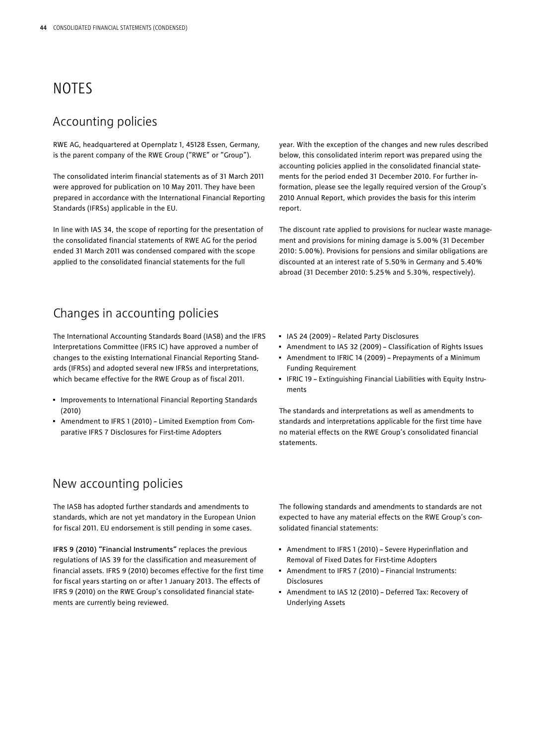## NOTES

### Accounting policies

RWE AG, headquartered at Opernplatz 1, 45128 Essen, Germany, is the parent company of the RWE Group ("RWE" or "Group").

The consolidated interim financial statements as of 31 March 2011 were approved for publication on 10 May 2011. They have been prepared in accordance with the International Financial Reporting Standards (IFRSs) applicable in the EU.

In line with IAS 34, the scope of reporting for the presentation of the consolidated financial statements of RWE AG for the period ended 31 March 2011 was condensed compared with the scope applied to the consolidated financial statements for the full

year. With the exception of the changes and new rules described below, this consolidated interim report was prepared using the accounting policies applied in the consolidated financial statements for the period ended 31 December 2010. For further information, please see the legally required version of the Group's 2010 Annual Report, which provides the basis for this interim report.

The discount rate applied to provisions for nuclear waste management and provisions for mining damage is 5.00 % (31 December 2010: 5.00 %). Provisions for pensions and similar obligations are discounted at an interest rate of 5.50 % in Germany and 5.40 % abroad (31 December 2010: 5.25 % and 5.30 %, respectively).

## Changes in accounting policies

The International Accounting Standards Board (IASB) and the IFRS Interpretations Committee (IFRS IC) have approved a number of changes to the existing International Financial Reporting Standards (IFRSs) and adopted several new IFRSs and interpretations, which became effective for the RWE Group as of fiscal 2011.

- Improvements to International Financial Reporting Standards (2010)
- Amendment to IFRS 1 (2010) Limited Exemption from Comparative IFRS 7 Disclosures for First-time Adopters

## New accounting policies

The IASB has adopted further standards and amendments to standards, which are not yet mandatory in the European Union for fiscal 2011. EU endorsement is still pending in some cases.

IFRS 9 (2010) "Financial Instruments" replaces the previous regulations of IAS 39 for the classification and measurement of financial assets. IFRS 9 (2010) becomes effective for the first time for fiscal years starting on or after 1 January 2013. The effects of IFRS 9 (2010) on the RWE Group's consolidated financial statements are currently being reviewed.

- IAS 24 (2009) Related Party Disclosures
- Amendment to IAS 32 (2009) Classification of Rights Issues
- Amendment to IFRIC 14 (2009) Prepayments of a Minimum Funding Requirement
- IFRIC 19 Extinguishing Financial Liabilities with Equity Instruments

The standards and interpretations as well as amendments to standards and interpretations applicable for the first time have no material effects on the RWE Group's consolidated financial statements.

The following standards and amendments to standards are not expected to have any material effects on the RWE Group's consolidated financial statements:

- Amendment to IFRS 1 (2010) Severe Hyperinflation and Removal of Fixed Dates for First-time Adopters
- Amendment to IFRS 7 (2010) Financial Instruments: Disclosures
- Amendment to IAS 12 (2010) Deferred Tax: Recovery of Underlying Assets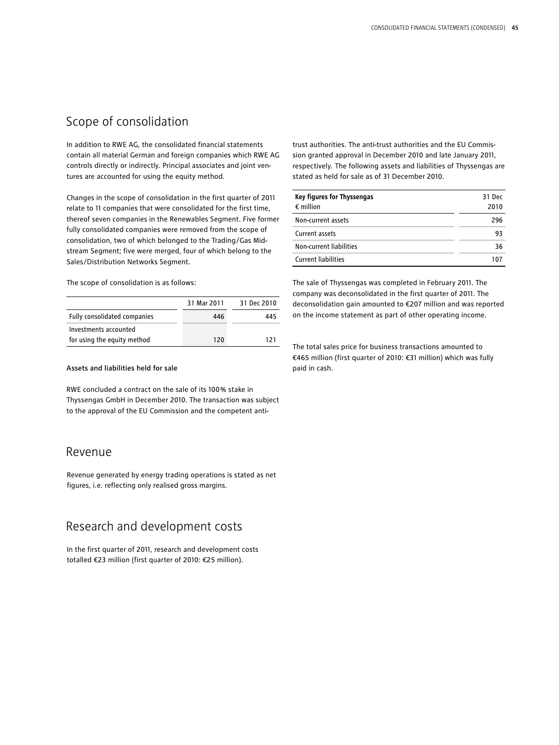## Scope of consolidation

In addition to RWE AG, the consolidated financial statements contain all material German and foreign companies which RWE AG controls directly or indirectly. Principal associates and joint ventures are accounted for using the equity method.

Changes in the scope of consolidation in the first quarter of 2011 relate to 11 companies that were consolidated for the first time, thereof seven companies in the Renewables Segment. Five former fully consolidated companies were removed from the scope of consolidation, two of which belonged to the Trading/Gas Midstream Segment: five were merged, four of which belong to the Sales/Distribution Networks Segment.

The scope of consolidation is as follows:

|                              | 31 Mar 2011 | 31 Dec 2010 |
|------------------------------|-------------|-------------|
| Fully consolidated companies | 446         | 445         |
| Investments accounted        |             |             |
| for using the equity method  | 120         | 121         |

#### Assets and liabilities held for sale

RWE concluded a contract on the sale of its 100 % stake in Thyssengas GmbH in December 2010. The transaction was subject to the approval of the EU Commission and the competent anti-

#### Revenue

Revenue generated by energy trading operations is stated as net figures, i.e. reflecting only realised gross margins.

## Research and development costs

In the first quarter of 2011, research and development costs totalled €23 million (first quarter of 2010: €25 million).

trust authorities. The anti-trust authorities and the EU Commission granted approval in December 2010 and late January 2011, respectively. The following assets and liabilities of Thyssengas are stated as held for sale as of 31 December 2010.

| Key figures for Thyssengas | 31 Dec |
|----------------------------|--------|
| $\epsilon$ million         | 2010   |
| Non-current assets         | 296    |
| Current assets             | 93     |
| Non-current liabilities    | 36     |
| <b>Current liabilities</b> | 107    |

The sale of Thyssengas was completed in February 2011. The company was deconsolidated in the first quarter of 2011. The deconsolidation gain amounted to €207 million and was reported on the income statement as part of other operating income.

The total sales price for business transactions amounted to €465 million (first quarter of 2010: €31 million) which was fully paid in cash.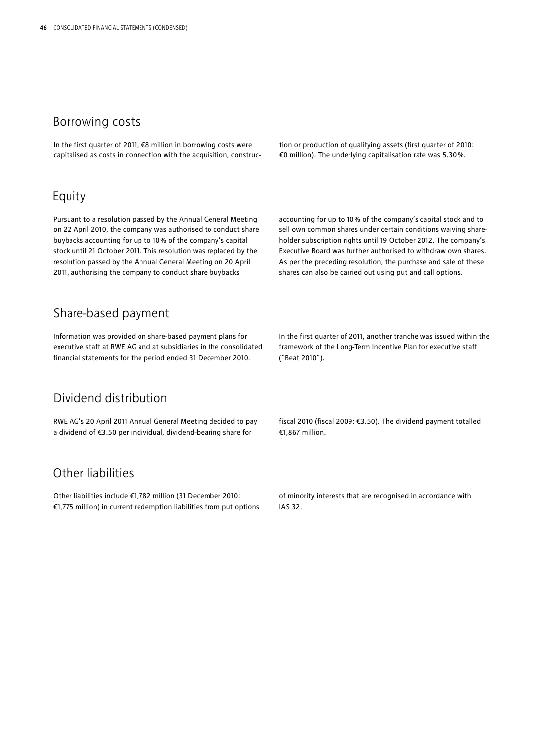### Borrowing costs

In the first quarter of 2011, €8 million in borrowing costs were capitalised as costs in connection with the acquisition, construc-

### Equity

Pursuant to a resolution passed by the Annual General Meeting on 22 April 2010, the company was authorised to conduct share buybacks accounting for up to 10 % of the company's capital stock until 21 October 2011. This resolution was replaced by the resolution passed by the Annual General Meeting on 20 April 2011, authorising the company to conduct share buybacks

tion or production of qualifying assets (first quarter of 2010: €0 million). The underlying capitalisation rate was 5.30 %.

accounting for up to 10 % of the company's capital stock and to sell own common shares under certain conditions waiving shareholder subscription rights until 19 October 2012. The company's Executive Board was further authorised to withdraw own shares. As per the preceding resolution, the purchase and sale of these shares can also be carried out using put and call options.

## Share-based payment

Information was provided on share-based payment plans for executive staff at RWE AG and at subsidiaries in the consolidated financial statements for the period ended 31 December 2010.

## Dividend distribution

RWE AG's 20 April 2011 Annual General Meeting decided to pay a dividend of €3.50 per individual, dividend-bearing share for

## Other liabilities

Other liabilities include €1,782 million (31 December 2010: €1,775 million) in current redemption liabilities from put options In the first quarter of 2011, another tranche was issued within the framework of the Long-Term Incentive Plan for executive staff ("Beat 2010").

fiscal 2010 (fiscal 2009: €3.50). The dividend payment totalled €1,867 million.

of minority interests that are recognised in accordance with IAS 32.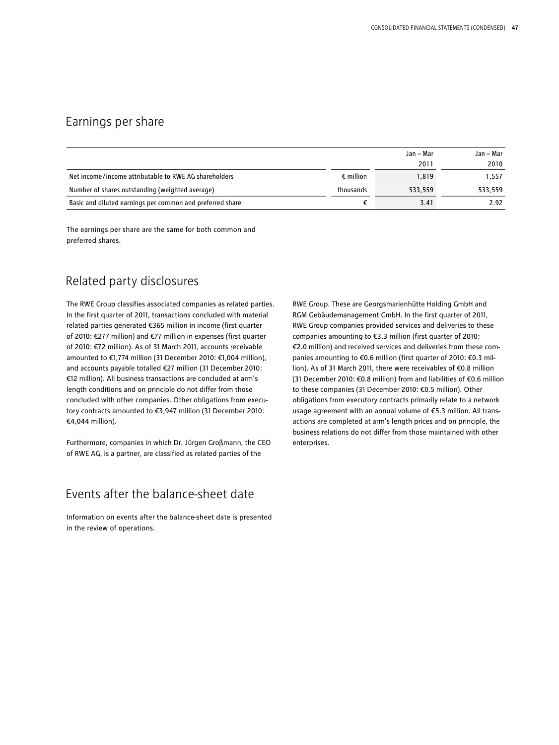### Earnings per share

|                                                           |                    | Jan – Mar | Jan – Mar |
|-----------------------------------------------------------|--------------------|-----------|-----------|
|                                                           |                    | 2011      | 2010      |
| Net income/income attributable to RWE AG shareholders     | $\epsilon$ million | 1.819     | 1.557     |
| Number of shares outstanding (weighted average)           | thousands          | 533.559   | 533.559   |
| Basic and diluted earnings per common and preferred share |                    | 3.41      | 2.92      |

The earnings per share are the same for both common and preferred shares.

## Related party disclosures

The RWE Group classifies associated companies as related parties. In the first quarter of 2011, transactions concluded with material related parties generated €365 million in income (first quarter of 2010: €277 million) and €77 million in expenses (first quarter of 2010: €72 million). As of 31 March 2011, accounts receivable amounted to €1,774 million (31 December 2010: €1,004 million), and accounts payable totalled €27 million (31 December 2010: €12 million). All business transactions are concluded at arm's length conditions and on principle do not differ from those concluded with other companies. Other obligations from executory contracts amounted to €3,947 million (31 December 2010: €4,044 million).

Furthermore, companies in which Dr. Jürgen Großmann, the CEO of RWE AG, is a partner, are classified as related parties of the

RWE Group. These are Georgsmarienhütte Holding GmbH and RGM Gebäudemanagement GmbH. In the first quarter of 2011, RWE Group companies provided services and deliveries to these companies amounting to €3.3 million (first quarter of 2010: €2.0 million) and received services and deliveries from these companies amounting to €0.6 million (first quarter of 2010: €0.3 million). As of 31 March 2011, there were receivables of €0.8 million (31 December 2010: €0.8 million) from and liabilities of €0.6 million to these companies (31 December 2010: €0.5 million). Other obligations from executory contracts primarily relate to a network usage agreement with an annual volume of €5.3 million. All transactions are completed at arm's length prices and on principle, the business relations do not differ from those maintained with other enterprises.

## Events after the balance-sheet date

Information on events after the balance-sheet date is presented in the review of operations.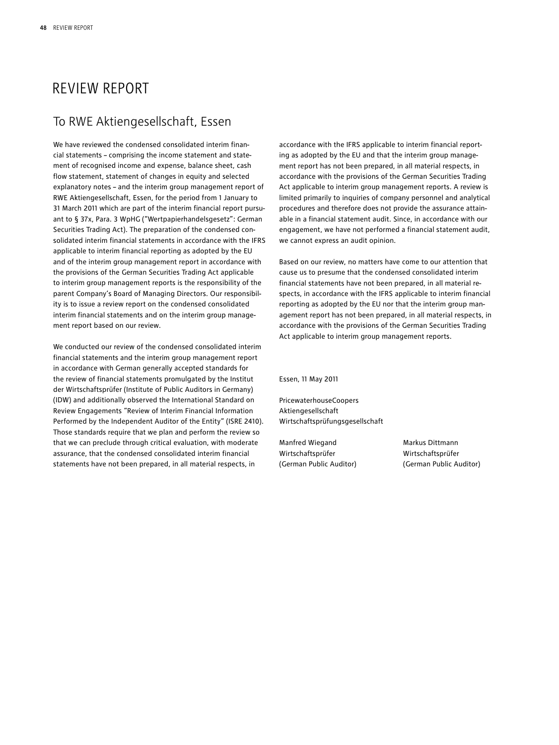## REVIEW REPORT

## To RWE Aktiengesellschaft, Essen

We have reviewed the condensed consolidated interim financial statements – comprising the income statement and statement of recognised income and expense, balance sheet, cash flow statement, statement of changes in equity and selected explanatory notes – and the interim group management report of RWE Aktiengesellschaft, Essen, for the period from 1 January to 31 March 2011 which are part of the interim financial report pursuant to § 37x, Para. 3 WpHG ("Wertpapierhandelsgesetz": German Securities Trading Act). The preparation of the condensed consolidated interim financial statements in accordance with the IFRS applicable to interim financial reporting as adopted by the EU and of the interim group management report in accordance with the provisions of the German Securities Trading Act applicable to interim group management reports is the responsibility of the parent Company's Board of Managing Directors. Our responsibility is to issue a review report on the condensed consolidated interim financial statements and on the interim group management report based on our review.

We conducted our review of the condensed consolidated interim financial statements and the interim group management report in accordance with German generally accepted standards for the review of financial statements promulgated by the Institut der Wirtschaftsprüfer (Institute of Public Auditors in Germany) (IDW) and additionally observed the International Standard on Review Engagements "Review of Interim Financial Information Performed by the Independent Auditor of the Entity" (ISRE 2410). Those standards require that we plan and perform the review so that we can preclude through critical evaluation, with moderate assurance, that the condensed consolidated interim financial statements have not been prepared, in all material respects, in

accordance with the IFRS applicable to interim financial reporting as adopted by the EU and that the interim group management report has not been prepared, in all material respects, in accordance with the provisions of the German Securities Trading Act applicable to interim group management reports. A review is limited primarily to inquiries of company personnel and analytical procedures and therefore does not provide the assurance attainable in a financial statement audit. Since, in accordance with our engagement, we have not performed a financial statement audit, we cannot express an audit opinion.

Based on our review, no matters have come to our attention that cause us to presume that the condensed consolidated interim financial statements have not been prepared, in all material respects, in accordance with the IFRS applicable to interim financial reporting as adopted by the EU nor that the interim group management report has not been prepared, in all material respects, in accordance with the provisions of the German Securities Trading Act applicable to interim group management reports.

Essen, 11 May 2011

PricewaterhouseCoopers Aktiengesellschaft Wirtschaftsprüfungsgesellschaft

Manfred Wiegand Markus Dittmann Wirtschaftsprüfer Wirtschaftsprüfer

(German Public Auditor) (German Public Auditor)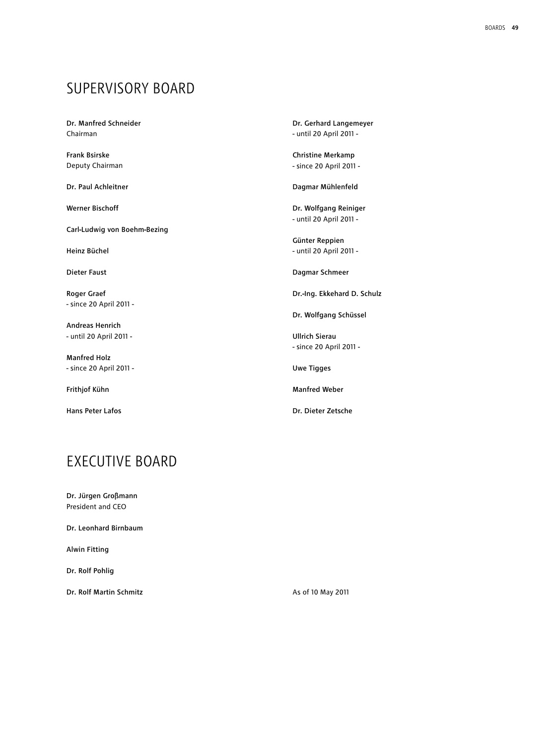## Supervisory Board

Dr. Manfred Schneider Chairman

Frank Bsirske Deputy Chairman

Dr. Paul Achleitner

Werner Bischoff

Carl-Ludwig von Boehm-Bezing

Heinz Büchel

Dieter Faust

Roger Graef - since 20 April 2011 -

Andreas Henrich - until 20 April 2011 -

Manfred Holz - since 20 April 2011 -

Frithjof Kühn

Hans Peter Lafos

Dr. Gerhard Langemeyer - until 20 April 2011 -

Christine Merkamp - since 20 April 2011 -

Dagmar Mühlenfeld

Dr. Wolfgang Reiniger - until 20 April 2011 -

Günter Reppien - until 20 April 2011 -

Dagmar Schmeer

Dr.-Ing. Ekkehard D. Schulz

Dr. Wolfgang Schüssel

Ullrich Sierau - since 20 April 2011 -

Uwe Tigges

Manfred Weber

Dr. Dieter Zetsche

## **FXFCUTIVE BOARD**

Dr. Jürgen Großmann President and CEO

Dr. Leonhard Birnbaum

Alwin Fitting

Dr. Rolf Pohlig

Dr. Rolf Martin Schmitz

As of 10 May 2011